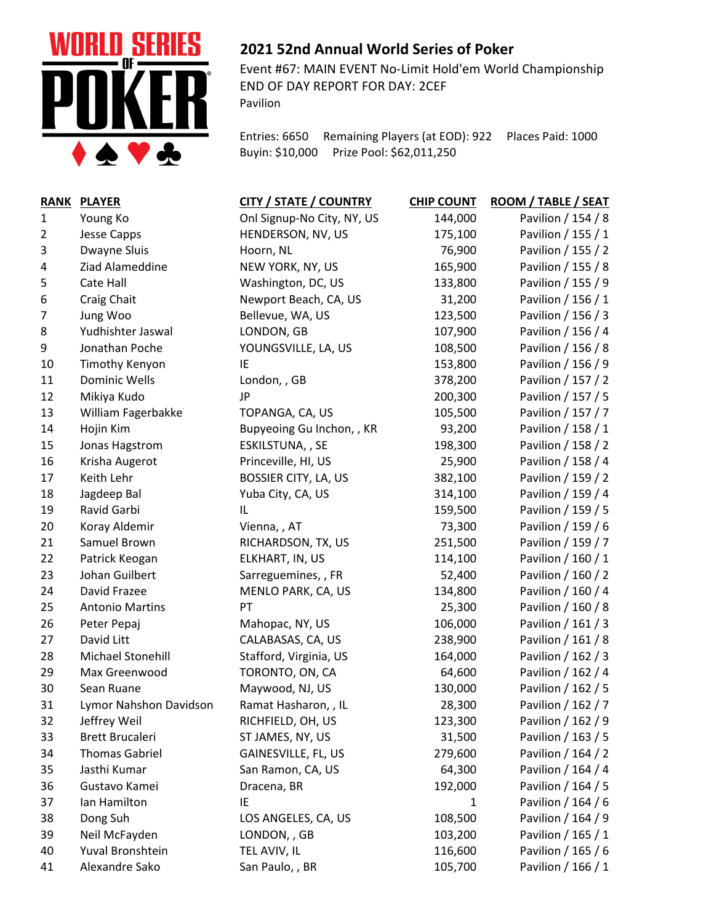

## **2021 52nd Annual World Series of Poker**

Event #67: MAIN EVENT No-Limit Hold'em World Championship END OF DAY REPORT FOR DAY: 2CEF Pavilion

Entries: 6650 Remaining Players (at EOD): 922 Places Paid: 1000 Buyin: \$10,000 Prize Pool: \$62,011,250

| <b>RANK</b>    | <b>PLAYER</b>          | <b>CITY / STATE / COUNTRY</b> | <b>CHIP COUNT</b> | ROOM / TABLE / SEAT |
|----------------|------------------------|-------------------------------|-------------------|---------------------|
| 1              | Young Ko               | Onl Signup-No City, NY, US    | 144,000           | Pavilion / 154 / 8  |
| $\overline{2}$ | <b>Jesse Capps</b>     | HENDERSON, NV, US             | 175,100           | Pavilion / 155 / 1  |
| 3              | Dwayne Sluis           | Hoorn, NL                     | 76,900            | Pavilion / 155 / 2  |
| 4              | Ziad Alameddine        | NEW YORK, NY, US              | 165,900           | Pavilion / 155 / 8  |
| 5              | Cate Hall              | Washington, DC, US            | 133,800           | Pavilion / 155 / 9  |
| 6              | Craig Chait            | Newport Beach, CA, US         | 31,200            | Pavilion / 156 / 1  |
| 7              | Jung Woo               | Bellevue, WA, US              | 123,500           | Pavilion / 156 / 3  |
| 8              | Yudhishter Jaswal      | LONDON, GB                    | 107,900           | Pavilion / 156 / 4  |
| 9              | Jonathan Poche         | YOUNGSVILLE, LA, US           | 108,500           | Pavilion / 156 / 8  |
| 10             | Timothy Kenyon         | IE                            | 153,800           | Pavilion / 156 / 9  |
| 11             | <b>Dominic Wells</b>   | London, , GB                  | 378,200           | Pavilion / 157 / 2  |
| 12             | Mikiya Kudo            | JP                            | 200,300           | Pavilion / 157 / 5  |
| 13             | William Fagerbakke     | TOPANGA, CA, US               | 105,500           | Pavilion / 157 / 7  |
| 14             | Hojin Kim              | Bupyeoing Gu Inchon, , KR     | 93,200            | Pavilion / 158 / 1  |
| 15             | Jonas Hagstrom         | ESKILSTUNA, , SE              | 198,300           | Pavilion / 158 / 2  |
| 16             | Krisha Augerot         | Princeville, HI, US           | 25,900            | Pavilion / 158 / 4  |
| 17             | Keith Lehr             | <b>BOSSIER CITY, LA, US</b>   | 382,100           | Pavilion / 159 / 2  |
| 18             | Jagdeep Bal            | Yuba City, CA, US             | 314,100           | Pavilion / 159 / 4  |
| 19             | Ravid Garbi            | IL                            | 159,500           | Pavilion / 159 / 5  |
| 20             | Koray Aldemir          | Vienna, , AT                  | 73,300            | Pavilion / 159 / 6  |
| 21             | Samuel Brown           | RICHARDSON, TX, US            | 251,500           | Pavilion / 159 / 7  |
| 22             | Patrick Keogan         | ELKHART, IN, US               | 114,100           | Pavilion / 160 / 1  |
| 23             | Johan Guilbert         | Sarreguemines, , FR           | 52,400            | Pavilion / 160 / 2  |
| 24             | David Frazee           | MENLO PARK, CA, US            | 134,800           | Pavilion / 160 / 4  |
| 25             | <b>Antonio Martins</b> | PT                            | 25,300            | Pavilion / 160 / 8  |
| 26             | Peter Pepaj            | Mahopac, NY, US               | 106,000           | Pavilion / 161 / 3  |
| 27             | David Litt             | CALABASAS, CA, US             | 238,900           | Pavilion / 161 / 8  |
| 28             | Michael Stonehill      | Stafford, Virginia, US        | 164,000           | Pavilion / 162 / 3  |
| 29             | Max Greenwood          | TORONTO, ON, CA               | 64,600            | Pavilion / 162 / 4  |
| 30             | Sean Ruane             | Maywood, NJ, US               | 130,000           | Pavilion / 162 / 5  |
| 31             | Lymor Nahshon Davidson | Ramat Hasharon, , IL          | 28,300            | Pavilion / 162 / 7  |
| 32             | Jeffrey Weil           | RICHFIELD, OH, US             | 123,300           | Pavilion / 162 / 9  |
| 33             | <b>Brett Brucaleri</b> | ST JAMES, NY, US              | 31,500            | Pavilion / 163 / 5  |
| 34             | <b>Thomas Gabriel</b>  | GAINESVILLE, FL, US           | 279,600           | Pavilion / 164 / 2  |
| 35             | Jasthi Kumar           | San Ramon, CA, US             | 64,300            | Pavilion / 164 / 4  |
| 36             | Gustavo Kamei          | Dracena, BR                   | 192,000           | Pavilion / 164 / 5  |
| 37             | Ian Hamilton           | IE                            | $\mathbf{1}$      | Pavilion / 164 / 6  |
| 38             | Dong Suh               | LOS ANGELES, CA, US           | 108,500           | Pavilion / 164 / 9  |
| 39             | Neil McFayden          | LONDON, , GB                  | 103,200           | Pavilion / 165 / 1  |
| 40             | Yuval Bronshtein       | TEL AVIV, IL                  | 116,600           | Pavilion / 165 / 6  |
| 41             | Alexandre Sako         | San Paulo, , BR               | 105,700           | Pavilion / 166 / 1  |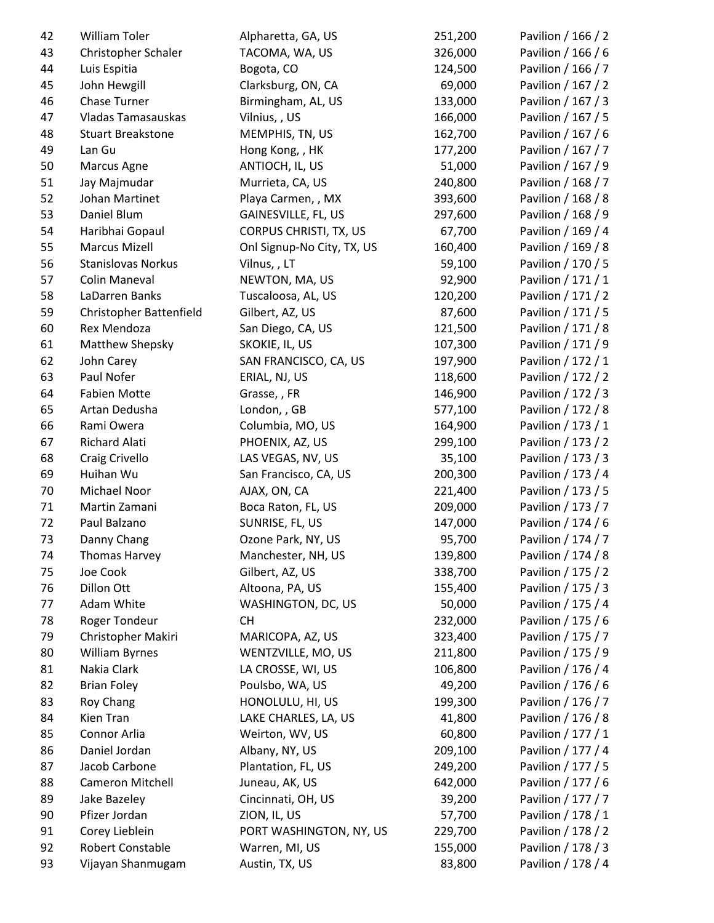| 42       | William Toler             | Alpharetta, GA, US         | 251,200 | Pavilion / 166 / 2 |
|----------|---------------------------|----------------------------|---------|--------------------|
| 43       | Christopher Schaler       | TACOMA, WA, US             | 326,000 | Pavilion / 166 / 6 |
| 44       | Luis Espitia              | Bogota, CO                 | 124,500 | Pavilion / 166 / 7 |
| 45       | John Hewgill              | Clarksburg, ON, CA         | 69,000  | Pavilion / 167 / 2 |
| 46       | Chase Turner              | Birmingham, AL, US         | 133,000 | Pavilion / 167 / 3 |
| 47       | <b>Vladas Tamasauskas</b> | Vilnius, , US              | 166,000 | Pavilion / 167 / 5 |
| 48       | <b>Stuart Breakstone</b>  | MEMPHIS, TN, US            | 162,700 | Pavilion / 167 / 6 |
| 49       | Lan Gu                    | Hong Kong, , HK            | 177,200 | Pavilion / 167 / 7 |
| 50       | Marcus Agne               | ANTIOCH, IL, US            | 51,000  | Pavilion / 167 / 9 |
| 51       | Jay Majmudar              | Murrieta, CA, US           | 240,800 | Pavilion / 168 / 7 |
| 52       | Johan Martinet            | Playa Carmen, , MX         | 393,600 | Pavilion / 168 / 8 |
| 53       | Daniel Blum               | GAINESVILLE, FL, US        | 297,600 | Pavilion / 168 / 9 |
| 54       | Haribhai Gopaul           | CORPUS CHRISTI, TX, US     | 67,700  | Pavilion / 169 / 4 |
| 55       | <b>Marcus Mizell</b>      | Onl Signup-No City, TX, US | 160,400 | Pavilion / 169 / 8 |
| 56       | Stanislovas Norkus        | Vilnus,, LT                | 59,100  | Pavilion / 170 / 5 |
| 57       | Colin Maneval             | NEWTON, MA, US             | 92,900  | Pavilion / 171 / 1 |
| 58       | LaDarren Banks            | Tuscaloosa, AL, US         | 120,200 | Pavilion / 171 / 2 |
| 59       | Christopher Battenfield   | Gilbert, AZ, US            | 87,600  | Pavilion / 171 / 5 |
| 60       | Rex Mendoza               | San Diego, CA, US          | 121,500 | Pavilion / 171 / 8 |
| 61       | Matthew Shepsky           | SKOKIE, IL, US             | 107,300 | Pavilion / 171 / 9 |
| 62       | John Carey                | SAN FRANCISCO, CA, US      | 197,900 | Pavilion / 172 / 1 |
| 63       | Paul Nofer                | ERIAL, NJ, US              | 118,600 | Pavilion / 172 / 2 |
| 64       | <b>Fabien Motte</b>       | Grasse, , FR               | 146,900 | Pavilion / 172 / 3 |
| 65       | Artan Dedusha             | London, , GB               | 577,100 | Pavilion / 172 / 8 |
| 66       | Rami Owera                | Columbia, MO, US           | 164,900 | Pavilion / 173 / 1 |
| 67       | Richard Alati             | PHOENIX, AZ, US            | 299,100 | Pavilion / 173 / 2 |
| 68       | Craig Crivello            | LAS VEGAS, NV, US          | 35,100  | Pavilion / 173 / 3 |
| 69       | Huihan Wu                 | San Francisco, CA, US      | 200,300 | Pavilion / 173 / 4 |
| 70       | Michael Noor              | AJAX, ON, CA               | 221,400 | Pavilion / 173 / 5 |
| 71       | Martin Zamani             | Boca Raton, FL, US         | 209,000 | Pavilion / 173 / 7 |
| 72       | Paul Balzano              | SUNRISE, FL, US            | 147,000 | Pavilion / 174 / 6 |
| 73       | Danny Chang               | Ozone Park, NY, US         | 95,700  | Pavilion / 174 / 7 |
|          |                           | Manchester, NH, US         | 139,800 | Pavilion / 174 / 8 |
| 74<br>75 | Thomas Harvey<br>Joe Cook | Gilbert, AZ, US            | 338,700 | Pavilion / 175 / 2 |
| 76       | Dillon Ott                | Altoona, PA, US            | 155,400 | Pavilion / 175 / 3 |
| 77       | Adam White                |                            | 50,000  |                    |
|          |                           | WASHINGTON, DC, US         |         | Pavilion / 175 / 4 |
| 78       | Roger Tondeur             | <b>CH</b>                  | 232,000 | Pavilion / 175 / 6 |
| 79       | Christopher Makiri        | MARICOPA, AZ, US           | 323,400 | Pavilion / 175 / 7 |
| 80       | <b>William Byrnes</b>     | WENTZVILLE, MO, US         | 211,800 | Pavilion / 175 / 9 |
| 81       | Nakia Clark               | LA CROSSE, WI, US          | 106,800 | Pavilion / 176 / 4 |
| 82       | <b>Brian Foley</b>        | Poulsbo, WA, US            | 49,200  | Pavilion / 176 / 6 |
| 83       | Roy Chang                 | HONOLULU, HI, US           | 199,300 | Pavilion / 176 / 7 |
| 84       | Kien Tran                 | LAKE CHARLES, LA, US       | 41,800  | Pavilion / 176 / 8 |
| 85       | Connor Arlia              | Weirton, WV, US            | 60,800  | Pavilion / 177 / 1 |
| 86       | Daniel Jordan             | Albany, NY, US             | 209,100 | Pavilion / 177 / 4 |
| 87       | Jacob Carbone             | Plantation, FL, US         | 249,200 | Pavilion / 177 / 5 |
| 88       | Cameron Mitchell          | Juneau, AK, US             | 642,000 | Pavilion / 177 / 6 |
| 89       | Jake Bazeley              | Cincinnati, OH, US         | 39,200  | Pavilion / 177 / 7 |
| 90       | Pfizer Jordan             | ZION, IL, US               | 57,700  | Pavilion / 178 / 1 |
| 91       | Corey Lieblein            | PORT WASHINGTON, NY, US    | 229,700 | Pavilion / 178 / 2 |
| 92       | Robert Constable          | Warren, MI, US             | 155,000 | Pavilion / 178 / 3 |
| 93       | Vijayan Shanmugam         | Austin, TX, US             | 83,800  | Pavilion / 178 / 4 |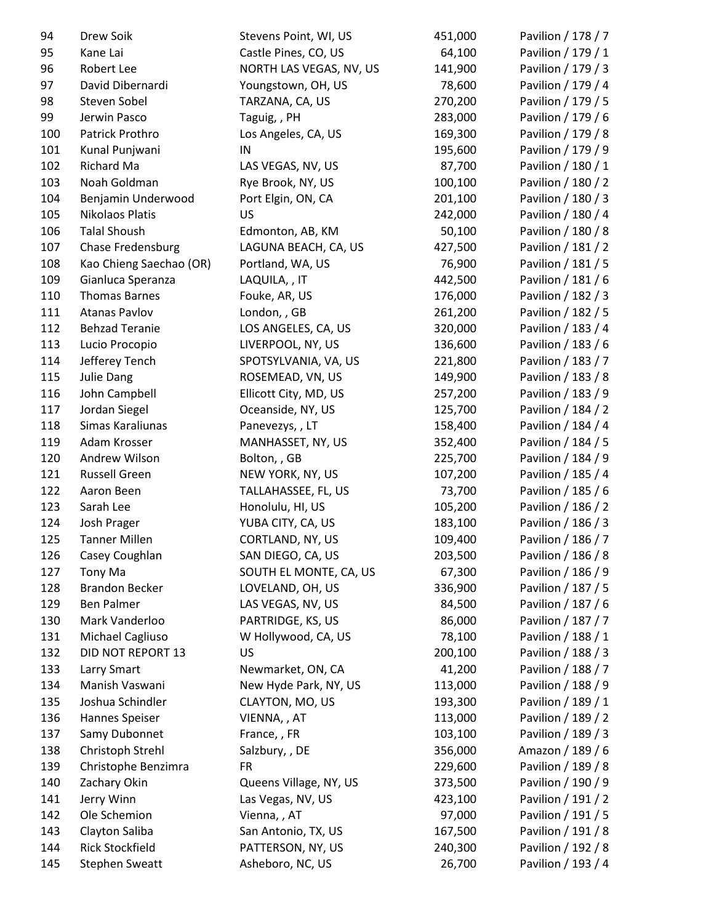| 94  | Drew Soik                          | Stevens Point, WI, US   | 451,000 | Pavilion / 178 / 7 |
|-----|------------------------------------|-------------------------|---------|--------------------|
| 95  | Kane Lai                           | Castle Pines, CO, US    | 64,100  | Pavilion / 179 / 1 |
| 96  | Robert Lee                         | NORTH LAS VEGAS, NV, US | 141,900 | Pavilion / 179 / 3 |
| 97  | David Dibernardi                   | Youngstown, OH, US      | 78,600  | Pavilion / 179 / 4 |
| 98  | Steven Sobel                       | TARZANA, CA, US         | 270,200 | Pavilion / 179 / 5 |
| 99  | Jerwin Pasco                       | Taguig, , PH            | 283,000 | Pavilion / 179 / 6 |
| 100 | Patrick Prothro                    | Los Angeles, CA, US     | 169,300 | Pavilion / 179 / 8 |
| 101 | Kunal Punjwani                     | IN                      | 195,600 | Pavilion / 179 / 9 |
| 102 | Richard Ma                         | LAS VEGAS, NV, US       | 87,700  | Pavilion / 180 / 1 |
| 103 | Noah Goldman                       | Rye Brook, NY, US       | 100,100 | Pavilion / 180 / 2 |
| 104 | Benjamin Underwood                 | Port Elgin, ON, CA      | 201,100 | Pavilion / 180 / 3 |
| 105 | Nikolaos Platis                    | US                      | 242,000 | Pavilion / 180 / 4 |
| 106 | <b>Talal Shoush</b>                | Edmonton, AB, KM        | 50,100  | Pavilion / 180 / 8 |
| 107 | <b>Chase Fredensburg</b>           | LAGUNA BEACH, CA, US    | 427,500 | Pavilion / 181 / 2 |
| 108 | Kao Chieng Saechao (OR)            | Portland, WA, US        | 76,900  | Pavilion / 181 / 5 |
| 109 | Gianluca Speranza                  | LAQUILA, , IT           | 442,500 | Pavilion / 181 / 6 |
| 110 | <b>Thomas Barnes</b>               | Fouke, AR, US           | 176,000 | Pavilion / 182 / 3 |
| 111 | <b>Atanas Pavlov</b>               | London, , GB            | 261,200 | Pavilion / 182 / 5 |
| 112 | <b>Behzad Teranie</b>              | LOS ANGELES, CA, US     | 320,000 | Pavilion / 183 / 4 |
| 113 | Lucio Procopio                     | LIVERPOOL, NY, US       | 136,600 | Pavilion / 183 / 6 |
| 114 | Jefferey Tench                     | SPOTSYLVANIA, VA, US    | 221,800 | Pavilion / 183 / 7 |
| 115 | Julie Dang                         | ROSEMEAD, VN, US        | 149,900 | Pavilion / 183 / 8 |
| 116 | John Campbell                      | Ellicott City, MD, US   | 257,200 | Pavilion / 183 / 9 |
| 117 | Jordan Siegel                      | Oceanside, NY, US       | 125,700 | Pavilion / 184 / 2 |
| 118 | Simas Karaliunas                   | Panevezys,, LT          | 158,400 | Pavilion / 184 / 4 |
| 119 | Adam Krosser                       | MANHASSET, NY, US       | 352,400 | Pavilion / 184 / 5 |
| 120 | Andrew Wilson                      | Bolton, , GB            | 225,700 | Pavilion / 184 / 9 |
| 121 | <b>Russell Green</b>               | NEW YORK, NY, US        | 107,200 | Pavilion / 185 / 4 |
| 122 | Aaron Been                         | TALLAHASSEE, FL, US     | 73,700  | Pavilion / 185 / 6 |
| 123 | Sarah Lee                          | Honolulu, HI, US        | 105,200 | Pavilion / 186 / 2 |
| 124 | Josh Prager                        | YUBA CITY, CA, US       | 183,100 | Pavilion / 186 / 3 |
| 125 | <b>Tanner Millen</b>               | CORTLAND, NY, US        | 109,400 | Pavilion / 186 / 7 |
| 126 | Casey Coughlan                     | SAN DIEGO, CA, US       | 203,500 | Pavilion / 186 / 8 |
| 127 | Tony Ma                            | SOUTH EL MONTE, CA, US  | 67,300  | Pavilion / 186 / 9 |
| 128 | <b>Brandon Becker</b>              | LOVELAND, OH, US        | 336,900 | Pavilion / 187 / 5 |
| 129 | <b>Ben Palmer</b>                  | LAS VEGAS, NV, US       | 84,500  | Pavilion / 187 / 6 |
| 130 | Mark Vanderloo                     | PARTRIDGE, KS, US       | 86,000  | Pavilion / 187 / 7 |
| 131 | Michael Cagliuso                   | W Hollywood, CA, US     | 78,100  | Pavilion / 188 / 1 |
| 132 | DID NOT REPORT 13                  | US                      | 200,100 | Pavilion / 188 / 3 |
|     |                                    |                         |         |                    |
| 133 | Larry Smart                        | Newmarket, ON, CA       | 41,200  | Pavilion / 188 / 7 |
| 134 | Manish Vaswani<br>Joshua Schindler | New Hyde Park, NY, US   | 113,000 | Pavilion / 188 / 9 |
| 135 |                                    | CLAYTON, MO, US         | 193,300 | Pavilion / 189 / 1 |
| 136 | Hannes Speiser                     | VIENNA, , AT            | 113,000 | Pavilion / 189 / 2 |
| 137 | Samy Dubonnet                      | France, , FR            | 103,100 | Pavilion / 189 / 3 |
| 138 | Christoph Strehl                   | Salzbury, , DE          | 356,000 | Amazon / 189 / 6   |
| 139 | Christophe Benzimra                | <b>FR</b>               | 229,600 | Pavilion / 189 / 8 |
| 140 | Zachary Okin                       | Queens Village, NY, US  | 373,500 | Pavilion / 190 / 9 |
| 141 | Jerry Winn                         | Las Vegas, NV, US       | 423,100 | Pavilion / 191 / 2 |
| 142 | Ole Schemion                       | Vienna, , AT            | 97,000  | Pavilion / 191 / 5 |
| 143 | Clayton Saliba                     | San Antonio, TX, US     | 167,500 | Pavilion / 191 / 8 |
| 144 | <b>Rick Stockfield</b>             | PATTERSON, NY, US       | 240,300 | Pavilion / 192 / 8 |
| 145 | <b>Stephen Sweatt</b>              | Asheboro, NC, US        | 26,700  | Pavilion / 193 / 4 |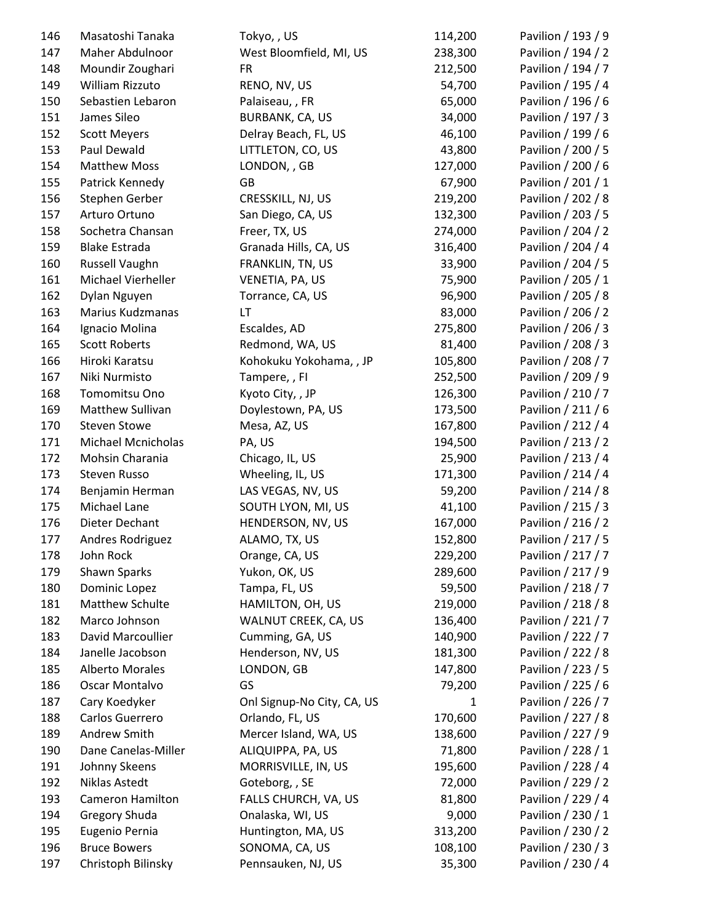| 146        | Masatoshi Tanaka                | Tokyo,, US                             | 114,200 | Pavilion / 193 / 9                       |
|------------|---------------------------------|----------------------------------------|---------|------------------------------------------|
| 147        | Maher Abdulnoor                 | West Bloomfield, MI, US                | 238,300 | Pavilion / 194 / 2                       |
| 148        | Moundir Zoughari                | <b>FR</b>                              | 212,500 | Pavilion / 194 / 7                       |
| 149        | William Rizzuto                 | RENO, NV, US                           | 54,700  | Pavilion / 195 / 4                       |
| 150        | Sebastien Lebaron               | Palaiseau, , FR                        | 65,000  | Pavilion / 196 / 6                       |
| 151        | James Sileo                     | BURBANK, CA, US                        | 34,000  | Pavilion / 197 / 3                       |
| 152        | <b>Scott Meyers</b>             | Delray Beach, FL, US                   | 46,100  | Pavilion / 199 / 6                       |
| 153        | Paul Dewald                     | LITTLETON, CO, US                      | 43,800  | Pavilion / 200 / 5                       |
| 154        | <b>Matthew Moss</b>             | LONDON, , GB                           | 127,000 | Pavilion / 200 / 6                       |
| 155        | Patrick Kennedy                 | GB                                     | 67,900  | Pavilion / 201 / 1                       |
| 156        | Stephen Gerber                  | CRESSKILL, NJ, US                      | 219,200 | Pavilion / 202 / 8                       |
| 157        | Arturo Ortuno                   | San Diego, CA, US                      | 132,300 | Pavilion / 203 / 5                       |
| 158        | Sochetra Chansan                | Freer, TX, US                          | 274,000 | Pavilion / 204 / 2                       |
| 159        | <b>Blake Estrada</b>            | Granada Hills, CA, US                  | 316,400 | Pavilion / 204 / 4                       |
| 160        | Russell Vaughn                  | FRANKLIN, TN, US                       | 33,900  | Pavilion / 204 / 5                       |
| 161        | Michael Vierheller              | VENETIA, PA, US                        | 75,900  | Pavilion / 205 / 1                       |
| 162        | Dylan Nguyen                    | Torrance, CA, US                       | 96,900  | Pavilion / 205 / 8                       |
| 163        | Marius Kudzmanas                | LT                                     | 83,000  | Pavilion / 206 / 2                       |
| 164        | Ignacio Molina                  | Escaldes, AD                           | 275,800 | Pavilion / 206 / 3                       |
| 165        | <b>Scott Roberts</b>            | Redmond, WA, US                        | 81,400  | Pavilion / 208 / 3                       |
| 166        | Hiroki Karatsu                  | Kohokuku Yokohama, , JP                | 105,800 | Pavilion / 208 / 7                       |
| 167        | Niki Nurmisto                   | Tampere, , FI                          | 252,500 | Pavilion / 209 / 9                       |
| 168        | Tomomitsu Ono                   | Kyoto City, , JP                       | 126,300 | Pavilion / 210 / 7                       |
| 169        | Matthew Sullivan                | Doylestown, PA, US                     | 173,500 | Pavilion / 211 / 6                       |
| 170        | <b>Steven Stowe</b>             | Mesa, AZ, US                           | 167,800 | Pavilion / 212 / 4                       |
| 171        | <b>Michael Mcnicholas</b>       | PA, US                                 | 194,500 | Pavilion / 213 / 2                       |
| 172        | Mohsin Charania                 | Chicago, IL, US                        | 25,900  | Pavilion / 213 / 4                       |
| 173        | Steven Russo                    | Wheeling, IL, US                       | 171,300 | Pavilion / 214 / 4                       |
| 174        | Benjamin Herman                 | LAS VEGAS, NV, US                      | 59,200  | Pavilion / 214 / 8                       |
| 175        | Michael Lane                    | SOUTH LYON, MI, US                     | 41,100  | Pavilion / 215 / 3                       |
| 176        | Dieter Dechant                  | HENDERSON, NV, US                      | 167,000 | Pavilion / 216 / 2                       |
| 177        | Andres Rodriguez                | ALAMO, TX, US                          | 152,800 | Pavilion / 217 / 5                       |
| 178        | John Rock                       | Orange, CA, US                         | 229,200 | Pavilion / 217 / 7                       |
| 179        | Shawn Sparks                    | Yukon, OK, US                          | 289,600 | Pavilion / 217 / 9                       |
| 180        | Dominic Lopez                   | Tampa, FL, US                          | 59,500  | Pavilion / 218 / 7                       |
| 181        | Matthew Schulte                 | HAMILTON, OH, US                       | 219,000 | Pavilion / 218 / 8                       |
| 182        | Marco Johnson                   | WALNUT CREEK, CA, US                   | 136,400 | Pavilion / 221 / 7                       |
| 183        | David Marcoullier               | Cumming, GA, US                        | 140,900 | Pavilion / 222 / 7                       |
| 184        | Janelle Jacobson                | Henderson, NV, US                      | 181,300 | Pavilion / 222 / 8                       |
| 185        | <b>Alberto Morales</b>          | LONDON, GB                             | 147,800 | Pavilion / 223 / 5                       |
| 186        | Oscar Montalvo                  | GS                                     | 79,200  | Pavilion / 225 / 6                       |
| 187        | Cary Koedyker                   | Onl Signup-No City, CA, US             | 1       | Pavilion / 226 / 7                       |
| 188        | Carlos Guerrero                 | Orlando, FL, US                        | 170,600 | Pavilion / 227 / 8                       |
| 189        | Andrew Smith                    | Mercer Island, WA, US                  | 138,600 | Pavilion / 227 / 9                       |
| 190        | Dane Canelas-Miller             | ALIQUIPPA, PA, US                      | 71,800  | Pavilion / 228 / 1                       |
| 191        | Johnny Skeens                   | MORRISVILLE, IN, US                    | 195,600 | Pavilion / 228 / 4                       |
|            | Niklas Astedt                   |                                        | 72,000  |                                          |
| 192        | Cameron Hamilton                | Goteborg, , SE<br>FALLS CHURCH, VA, US | 81,800  | Pavilion / 229 / 2<br>Pavilion / 229 / 4 |
| 193<br>194 |                                 |                                        | 9,000   | Pavilion / 230 / 1                       |
| 195        | Gregory Shuda<br>Eugenio Pernia | Onalaska, WI, US<br>Huntington, MA, US | 313,200 | Pavilion / 230 / 2                       |
| 196        | <b>Bruce Bowers</b>             | SONOMA, CA, US                         | 108,100 | Pavilion / 230 / 3                       |
| 197        |                                 | Pennsauken, NJ, US                     | 35,300  | Pavilion / 230 / 4                       |
|            | Christoph Bilinsky              |                                        |         |                                          |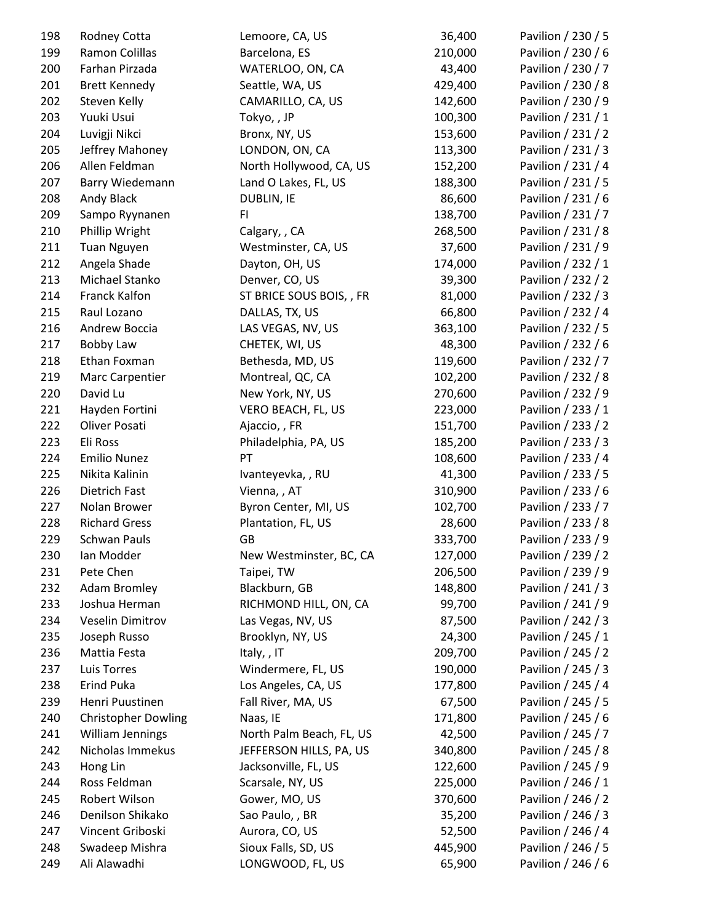| 198        | Rodney Cotta               | Lemoore, CA, US          | 36,400             | Pavilion / 230 / 5 |
|------------|----------------------------|--------------------------|--------------------|--------------------|
| 199        | Ramon Colillas             | Barcelona, ES            | 210,000            | Pavilion / 230 / 6 |
| 200        | Farhan Pirzada             | WATERLOO, ON, CA         | 43,400             | Pavilion / 230 / 7 |
| 201        | <b>Brett Kennedy</b>       | Seattle, WA, US          | 429,400            | Pavilion / 230 / 8 |
| 202        | Steven Kelly               | CAMARILLO, CA, US        | 142,600            | Pavilion / 230 / 9 |
| 203        | Yuuki Usui                 | Tokyo,, JP               | 100,300            | Pavilion / 231 / 1 |
| 204        | Luvigji Nikci              | Bronx, NY, US            | 153,600            | Pavilion / 231 / 2 |
| 205        | Jeffrey Mahoney            | LONDON, ON, CA           | 113,300            | Pavilion / 231 / 3 |
| 206        | Allen Feldman              | North Hollywood, CA, US  | 152,200            | Pavilion / 231 / 4 |
| 207        | Barry Wiedemann            | Land O Lakes, FL, US     | 188,300            | Pavilion / 231 / 5 |
| 208        | Andy Black                 | DUBLIN, IE               | 86,600             | Pavilion / 231 / 6 |
| 209        | Sampo Ryynanen             | FI                       | 138,700            | Pavilion / 231 / 7 |
| 210        | Phillip Wright             | Calgary, , CA            | 268,500            | Pavilion / 231 / 8 |
| 211        | Tuan Nguyen                | Westminster, CA, US      | 37,600             | Pavilion / 231 / 9 |
| 212        | Angela Shade               | Dayton, OH, US           | 174,000            | Pavilion / 232 / 1 |
| 213        | Michael Stanko             | Denver, CO, US           | 39,300             | Pavilion / 232 / 2 |
| 214        | Franck Kalfon              | ST BRICE SOUS BOIS, , FR | 81,000             | Pavilion / 232 / 3 |
| 215        | Raul Lozano                | DALLAS, TX, US           | 66,800             | Pavilion / 232 / 4 |
| 216        | Andrew Boccia              | LAS VEGAS, NV, US        | 363,100            | Pavilion / 232 / 5 |
| 217        | <b>Bobby Law</b>           | CHETEK, WI, US           | 48,300             | Pavilion / 232 / 6 |
| 218        | Ethan Foxman               | Bethesda, MD, US         | 119,600            | Pavilion / 232 / 7 |
| 219        | Marc Carpentier            | Montreal, QC, CA         | 102,200            | Pavilion / 232 / 8 |
| 220        | David Lu                   | New York, NY, US         | 270,600            | Pavilion / 232 / 9 |
| 221        | Hayden Fortini             | VERO BEACH, FL, US       | 223,000            | Pavilion / 233 / 1 |
| 222        | Oliver Posati              | Ajaccio, , FR            | 151,700            | Pavilion / 233 / 2 |
| 223        | Eli Ross                   | Philadelphia, PA, US     | 185,200            | Pavilion / 233 / 3 |
| 224        | <b>Emilio Nunez</b>        | PT                       | 108,600            | Pavilion / 233 / 4 |
| 225        | Nikita Kalinin             | Ivanteyevka, , RU        | 41,300             | Pavilion / 233 / 5 |
| 226        | Dietrich Fast              | Vienna, , AT             | 310,900            | Pavilion / 233 / 6 |
| 227        | Nolan Brower               | Byron Center, MI, US     | 102,700            | Pavilion / 233 / 7 |
| 228        | <b>Richard Gress</b>       | Plantation, FL, US       | 28,600             | Pavilion / 233 / 8 |
| 229        | <b>Schwan Pauls</b>        | GB                       | 333,700            | Pavilion / 233 / 9 |
| 230        | Ian Modder                 | New Westminster, BC, CA  | 127,000            | Pavilion / 239 / 2 |
| 231        | Pete Chen                  | Taipei, TW               | 206,500            | Pavilion / 239 / 9 |
| 232        | <b>Adam Bromley</b>        | Blackburn, GB            | 148,800            | Pavilion / 241 / 3 |
| 233        | Joshua Herman              | RICHMOND HILL, ON, CA    | 99,700             | Pavilion / 241 / 9 |
| 234        | Veselin Dimitrov           | Las Vegas, NV, US        | 87,500             | Pavilion / 242 / 3 |
| 235        | Joseph Russo               | Brooklyn, NY, US         | 24,300             | Pavilion / 245 / 1 |
|            | Mattia Festa               |                          |                    | Pavilion / 245 / 2 |
| 236<br>237 | <b>Luis Torres</b>         | Italy, , IT              | 209,700<br>190,000 | Pavilion / 245 / 3 |
|            | <b>Erind Puka</b>          | Windermere, FL, US       |                    |                    |
| 238        |                            | Los Angeles, CA, US      | 177,800            | Pavilion / 245 / 4 |
| 239        | Henri Puustinen            | Fall River, MA, US       | 67,500             | Pavilion / 245 / 5 |
| 240        | <b>Christopher Dowling</b> | Naas, IE                 | 171,800            | Pavilion / 245 / 6 |
| 241        | William Jennings           | North Palm Beach, FL, US | 42,500             | Pavilion / 245 / 7 |
| 242        | Nicholas Immekus           | JEFFERSON HILLS, PA, US  | 340,800            | Pavilion / 245 / 8 |
| 243        | Hong Lin                   | Jacksonville, FL, US     | 122,600            | Pavilion / 245 / 9 |
| 244        | Ross Feldman               | Scarsale, NY, US         | 225,000            | Pavilion / 246 / 1 |
| 245        | Robert Wilson              | Gower, MO, US            | 370,600            | Pavilion / 246 / 2 |
| 246        | Denilson Shikako           | Sao Paulo, , BR          | 35,200             | Pavilion / 246 / 3 |
| 247        | Vincent Griboski           | Aurora, CO, US           | 52,500             | Pavilion / 246 / 4 |
| 248        | Swadeep Mishra             | Sioux Falls, SD, US      | 445,900            | Pavilion / 246 / 5 |
| 249        | Ali Alawadhi               | LONGWOOD, FL, US         | 65,900             | Pavilion / 246 / 6 |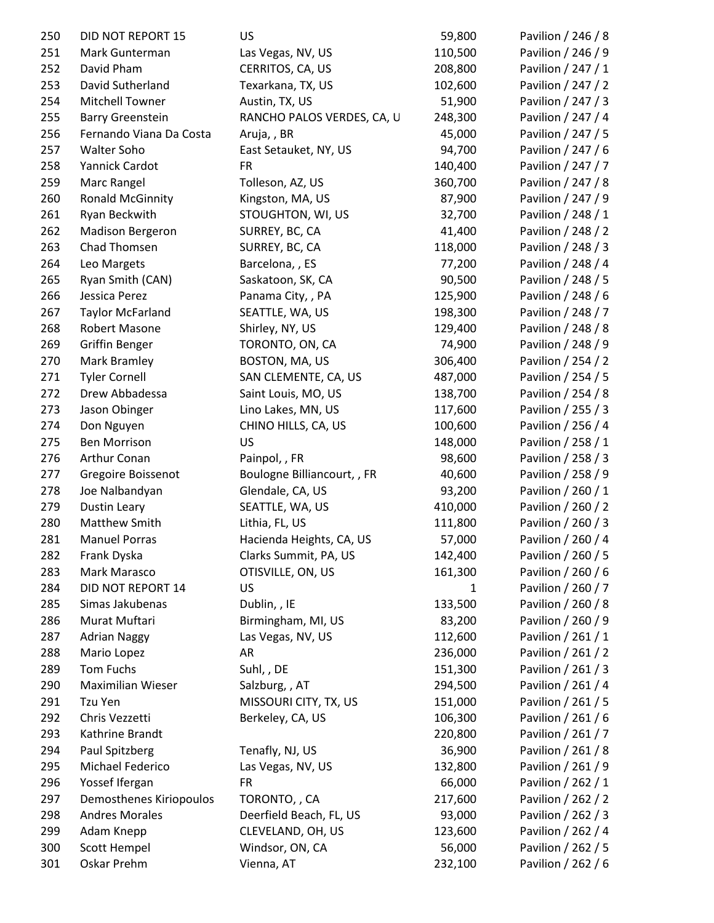| 250 | DID NOT REPORT 15       | <b>US</b>                   | 59,800       | Pavilion / 246 / 8 |
|-----|-------------------------|-----------------------------|--------------|--------------------|
| 251 | Mark Gunterman          | Las Vegas, NV, US           | 110,500      | Pavilion / 246 / 9 |
| 252 | David Pham              | CERRITOS, CA, US            | 208,800      | Pavilion / 247 / 1 |
| 253 | David Sutherland        | Texarkana, TX, US           | 102,600      | Pavilion / 247 / 2 |
| 254 | Mitchell Towner         | Austin, TX, US              | 51,900       | Pavilion / 247 / 3 |
| 255 | <b>Barry Greenstein</b> | RANCHO PALOS VERDES, CA, U  | 248,300      | Pavilion / 247 / 4 |
| 256 | Fernando Viana Da Costa | Aruja,, BR                  | 45,000       | Pavilion / 247 / 5 |
| 257 | <b>Walter Soho</b>      | East Setauket, NY, US       | 94,700       | Pavilion / 247 / 6 |
| 258 | Yannick Cardot          | <b>FR</b>                   | 140,400      | Pavilion / 247 / 7 |
| 259 | Marc Rangel             | Tolleson, AZ, US            | 360,700      | Pavilion / 247 / 8 |
| 260 | <b>Ronald McGinnity</b> | Kingston, MA, US            | 87,900       | Pavilion / 247 / 9 |
| 261 | Ryan Beckwith           | STOUGHTON, WI, US           | 32,700       | Pavilion / 248 / 1 |
| 262 | Madison Bergeron        | SURREY, BC, CA              | 41,400       | Pavilion / 248 / 2 |
| 263 | Chad Thomsen            | SURREY, BC, CA              | 118,000      | Pavilion / 248 / 3 |
| 264 | Leo Margets             | Barcelona, , ES             | 77,200       | Pavilion / 248 / 4 |
| 265 | Ryan Smith (CAN)        | Saskatoon, SK, CA           | 90,500       | Pavilion / 248 / 5 |
| 266 | Jessica Perez           | Panama City, , PA           | 125,900      | Pavilion / 248 / 6 |
| 267 | <b>Taylor McFarland</b> | SEATTLE, WA, US             | 198,300      | Pavilion / 248 / 7 |
| 268 | Robert Masone           | Shirley, NY, US             | 129,400      | Pavilion / 248 / 8 |
| 269 | <b>Griffin Benger</b>   | TORONTO, ON, CA             | 74,900       | Pavilion / 248 / 9 |
| 270 | Mark Bramley            | BOSTON, MA, US              | 306,400      | Pavilion / 254 / 2 |
| 271 | <b>Tyler Cornell</b>    | SAN CLEMENTE, CA, US        | 487,000      | Pavilion / 254 / 5 |
| 272 | Drew Abbadessa          | Saint Louis, MO, US         | 138,700      | Pavilion / 254 / 8 |
| 273 | Jason Obinger           | Lino Lakes, MN, US          | 117,600      | Pavilion / 255 / 3 |
| 274 | Don Nguyen              | CHINO HILLS, CA, US         | 100,600      | Pavilion / 256 / 4 |
| 275 | <b>Ben Morrison</b>     | <b>US</b>                   | 148,000      | Pavilion / 258 / 1 |
| 276 | Arthur Conan            | Painpol, , FR               | 98,600       | Pavilion / 258 / 3 |
| 277 | Gregoire Boissenot      | Boulogne Billiancourt, , FR | 40,600       | Pavilion / 258 / 9 |
| 278 | Joe Nalbandyan          | Glendale, CA, US            | 93,200       | Pavilion / 260 / 1 |
| 279 | <b>Dustin Leary</b>     | SEATTLE, WA, US             | 410,000      | Pavilion / 260 / 2 |
| 280 | Matthew Smith           | Lithia, FL, US              | 111,800      | Pavilion / 260 / 3 |
| 281 | <b>Manuel Porras</b>    | Hacienda Heights, CA, US    | 57,000       | Pavilion / 260 / 4 |
| 282 | Frank Dyska             | Clarks Summit, PA, US       | 142,400      | Pavilion / 260 / 5 |
| 283 | Mark Marasco            | OTISVILLE, ON, US           | 161,300      | Pavilion / 260 / 6 |
| 284 | DID NOT REPORT 14       | US                          | $\mathbf{1}$ | Pavilion / 260 / 7 |
| 285 | Simas Jakubenas         | Dublin, , IE                | 133,500      | Pavilion / 260 / 8 |
| 286 | Murat Muftari           | Birmingham, MI, US          | 83,200       | Pavilion / 260 / 9 |
| 287 | <b>Adrian Naggy</b>     | Las Vegas, NV, US           | 112,600      | Pavilion / 261 / 1 |
| 288 | Mario Lopez             | AR                          | 236,000      | Pavilion / 261 / 2 |
| 289 | Tom Fuchs               | Suhl, , DE                  | 151,300      | Pavilion / 261 / 3 |
| 290 | Maximilian Wieser       | Salzburg, , AT              | 294,500      | Pavilion / 261 / 4 |
| 291 | Tzu Yen                 | MISSOURI CITY, TX, US       | 151,000      | Pavilion / 261 / 5 |
| 292 | Chris Vezzetti          | Berkeley, CA, US            | 106,300      | Pavilion / 261 / 6 |
| 293 | Kathrine Brandt         |                             | 220,800      | Pavilion / 261 / 7 |
| 294 | Paul Spitzberg          | Tenafly, NJ, US             | 36,900       | Pavilion / 261 / 8 |
| 295 | Michael Federico        |                             |              |                    |
|     |                         | Las Vegas, NV, US           | 132,800      | Pavilion / 261 / 9 |
| 296 | Yossef Ifergan          | <b>FR</b>                   | 66,000       | Pavilion / 262 / 1 |
| 297 | Demosthenes Kiriopoulos | TORONTO,, CA                | 217,600      | Pavilion / 262 / 2 |
| 298 | <b>Andres Morales</b>   | Deerfield Beach, FL, US     | 93,000       | Pavilion / 262 / 3 |
| 299 | Adam Knepp              | CLEVELAND, OH, US           | 123,600      | Pavilion / 262 / 4 |
| 300 | Scott Hempel            | Windsor, ON, CA             | 56,000       | Pavilion / 262 / 5 |
| 301 | Oskar Prehm             | Vienna, AT                  | 232,100      | Pavilion / 262 / 6 |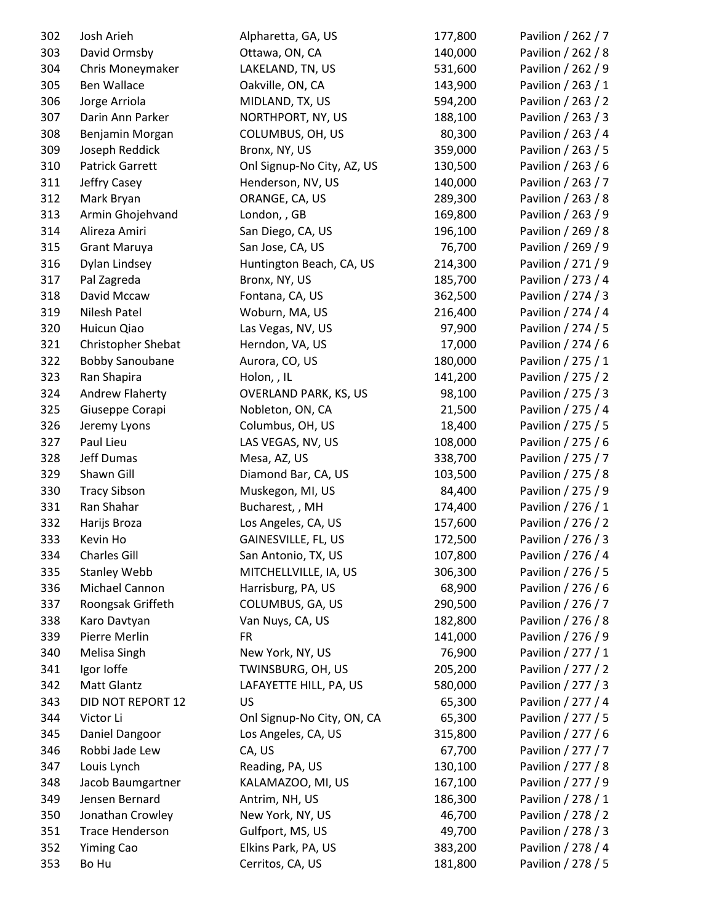| 302 | Josh Arieh                | Alpharetta, GA, US           | 177,800 | Pavilion / 262 / 7 |
|-----|---------------------------|------------------------------|---------|--------------------|
| 303 | David Ormsby              | Ottawa, ON, CA               | 140,000 | Pavilion / 262 / 8 |
| 304 | Chris Moneymaker          | LAKELAND, TN, US             | 531,600 | Pavilion / 262 / 9 |
| 305 | Ben Wallace               | Oakville, ON, CA             | 143,900 | Pavilion / 263 / 1 |
| 306 | Jorge Arriola             | MIDLAND, TX, US              | 594,200 | Pavilion / 263 / 2 |
| 307 | Darin Ann Parker          | NORTHPORT, NY, US            | 188,100 | Pavilion / 263 / 3 |
| 308 | Benjamin Morgan           | COLUMBUS, OH, US             | 80,300  | Pavilion / 263 / 4 |
| 309 | Joseph Reddick            | Bronx, NY, US                | 359,000 | Pavilion / 263 / 5 |
| 310 | <b>Patrick Garrett</b>    | Onl Signup-No City, AZ, US   | 130,500 | Pavilion / 263 / 6 |
| 311 | Jeffry Casey              | Henderson, NV, US            | 140,000 | Pavilion / 263 / 7 |
| 312 | Mark Bryan                | ORANGE, CA, US               | 289,300 | Pavilion / 263 / 8 |
| 313 | Armin Ghojehvand          | London, , GB                 | 169,800 | Pavilion / 263 / 9 |
| 314 | Alireza Amiri             | San Diego, CA, US            | 196,100 | Pavilion / 269 / 8 |
| 315 | <b>Grant Maruya</b>       | San Jose, CA, US             | 76,700  | Pavilion / 269 / 9 |
| 316 | Dylan Lindsey             | Huntington Beach, CA, US     | 214,300 | Pavilion / 271 / 9 |
| 317 | Pal Zagreda               | Bronx, NY, US                | 185,700 | Pavilion / 273 / 4 |
| 318 | David Mccaw               | Fontana, CA, US              | 362,500 | Pavilion / 274 / 3 |
| 319 | Nilesh Patel              | Woburn, MA, US               | 216,400 | Pavilion / 274 / 4 |
| 320 | Huicun Qiao               | Las Vegas, NV, US            | 97,900  | Pavilion / 274 / 5 |
| 321 | <b>Christopher Shebat</b> | Herndon, VA, US              | 17,000  | Pavilion / 274 / 6 |
| 322 | <b>Bobby Sanoubane</b>    | Aurora, CO, US               | 180,000 | Pavilion / 275 / 1 |
| 323 | Ran Shapira               | Holon, , IL                  | 141,200 | Pavilion / 275 / 2 |
| 324 | Andrew Flaherty           | <b>OVERLAND PARK, KS, US</b> | 98,100  | Pavilion / 275 / 3 |
| 325 | Giuseppe Corapi           | Nobleton, ON, CA             | 21,500  | Pavilion / 275 / 4 |
| 326 | Jeremy Lyons              | Columbus, OH, US             | 18,400  | Pavilion / 275 / 5 |
| 327 | Paul Lieu                 | LAS VEGAS, NV, US            | 108,000 | Pavilion / 275 / 6 |
| 328 | Jeff Dumas                | Mesa, AZ, US                 | 338,700 | Pavilion / 275 / 7 |
| 329 | Shawn Gill                | Diamond Bar, CA, US          | 103,500 | Pavilion / 275 / 8 |
| 330 | <b>Tracy Sibson</b>       | Muskegon, MI, US             | 84,400  | Pavilion / 275 / 9 |
| 331 | Ran Shahar                | Bucharest, , MH              | 174,400 | Pavilion / 276 / 1 |
| 332 | Harijs Broza              | Los Angeles, CA, US          | 157,600 | Pavilion / 276 / 2 |
| 333 | Kevin Ho                  | GAINESVILLE, FL, US          | 172,500 | Pavilion / 276 / 3 |
| 334 | Charles Gill              | San Antonio, TX, US          | 107,800 | Pavilion / 276 / 4 |
| 335 | <b>Stanley Webb</b>       | MITCHELLVILLE, IA, US        | 306,300 | Pavilion / 276 / 5 |
| 336 | Michael Cannon            | Harrisburg, PA, US           | 68,900  | Pavilion / 276 / 6 |
| 337 | Roongsak Griffeth         | COLUMBUS, GA, US             | 290,500 | Pavilion / 276 / 7 |
| 338 | Karo Davtyan              | Van Nuys, CA, US             | 182,800 | Pavilion / 276 / 8 |
| 339 | Pierre Merlin             | <b>FR</b>                    | 141,000 | Pavilion / 276 / 9 |
| 340 | Melisa Singh              | New York, NY, US             | 76,900  | Pavilion / 277 / 1 |
| 341 | Igor Ioffe                | TWINSBURG, OH, US            | 205,200 | Pavilion / 277 / 2 |
| 342 | Matt Glantz               | LAFAYETTE HILL, PA, US       | 580,000 | Pavilion / 277 / 3 |
| 343 | DID NOT REPORT 12         | US                           | 65,300  | Pavilion / 277 / 4 |
| 344 | Victor Li                 | Onl Signup-No City, ON, CA   | 65,300  | Pavilion / 277 / 5 |
| 345 | Daniel Dangoor            | Los Angeles, CA, US          | 315,800 | Pavilion / 277 / 6 |
| 346 | Robbi Jade Lew            | CA, US                       | 67,700  | Pavilion / 277 / 7 |
| 347 | Louis Lynch               | Reading, PA, US              | 130,100 | Pavilion / 277 / 8 |
| 348 | Jacob Baumgartner         | KALAMAZOO, MI, US            | 167,100 | Pavilion / 277 / 9 |
| 349 | Jensen Bernard            | Antrim, NH, US               | 186,300 | Pavilion / 278 / 1 |
| 350 | Jonathan Crowley          | New York, NY, US             | 46,700  | Pavilion / 278 / 2 |
| 351 | <b>Trace Henderson</b>    | Gulfport, MS, US             | 49,700  | Pavilion / 278 / 3 |
| 352 | <b>Yiming Cao</b>         | Elkins Park, PA, US          | 383,200 | Pavilion / 278 / 4 |
| 353 | Bo Hu                     | Cerritos, CA, US             | 181,800 | Pavilion / 278 / 5 |
|     |                           |                              |         |                    |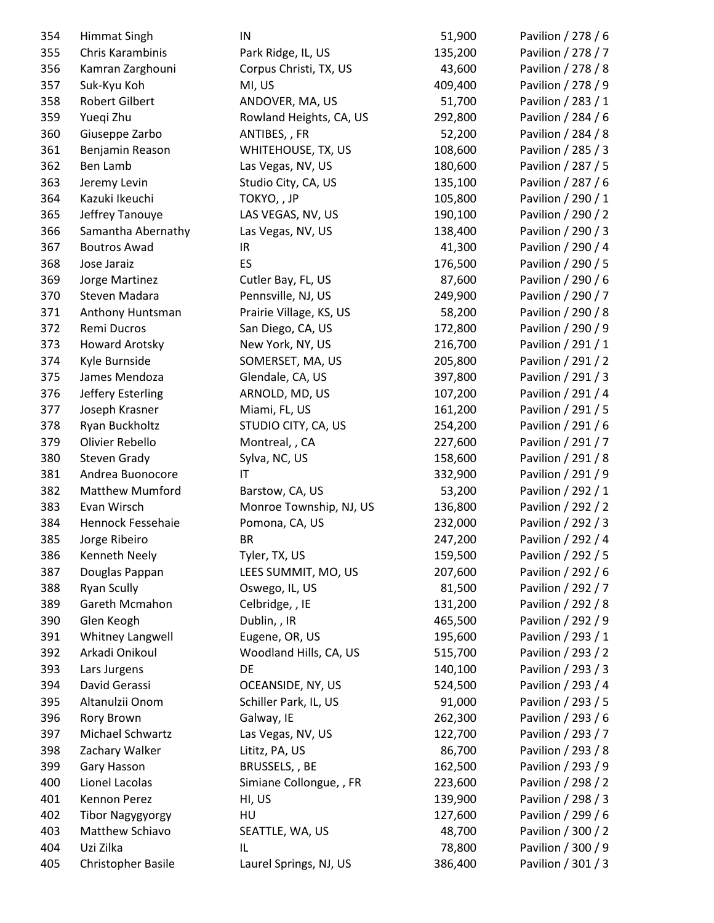| 354 | <b>Himmat Singh</b>     | IN                      | 51,900  | Pavilion / 278 / 6 |
|-----|-------------------------|-------------------------|---------|--------------------|
| 355 | Chris Karambinis        | Park Ridge, IL, US      | 135,200 | Pavilion / 278 / 7 |
| 356 | Kamran Zarghouni        | Corpus Christi, TX, US  | 43,600  | Pavilion / 278 / 8 |
| 357 | Suk-Kyu Koh             | MI, US                  | 409,400 | Pavilion / 278 / 9 |
| 358 | Robert Gilbert          | ANDOVER, MA, US         | 51,700  | Pavilion / 283 / 1 |
| 359 | Yueqi Zhu               | Rowland Heights, CA, US | 292,800 | Pavilion / 284 / 6 |
| 360 | Giuseppe Zarbo          | ANTIBES, , FR           | 52,200  | Pavilion / 284 / 8 |
| 361 | Benjamin Reason         | WHITEHOUSE, TX, US      | 108,600 | Pavilion / 285 / 3 |
| 362 | Ben Lamb                | Las Vegas, NV, US       | 180,600 | Pavilion / 287 / 5 |
| 363 | Jeremy Levin            | Studio City, CA, US     | 135,100 | Pavilion / 287 / 6 |
| 364 | Kazuki Ikeuchi          | TOKYO, , JP             | 105,800 | Pavilion / 290 / 1 |
| 365 | Jeffrey Tanouye         | LAS VEGAS, NV, US       | 190,100 | Pavilion / 290 / 2 |
| 366 | Samantha Abernathy      | Las Vegas, NV, US       | 138,400 | Pavilion / 290 / 3 |
| 367 | <b>Boutros Awad</b>     | IR                      | 41,300  | Pavilion / 290 / 4 |
| 368 | Jose Jaraiz             | ES                      | 176,500 | Pavilion / 290 / 5 |
| 369 | Jorge Martinez          | Cutler Bay, FL, US      | 87,600  | Pavilion / 290 / 6 |
| 370 | Steven Madara           | Pennsville, NJ, US      | 249,900 | Pavilion / 290 / 7 |
| 371 | Anthony Huntsman        | Prairie Village, KS, US | 58,200  | Pavilion / 290 / 8 |
| 372 | Remi Ducros             | San Diego, CA, US       | 172,800 | Pavilion / 290 / 9 |
| 373 | <b>Howard Arotsky</b>   | New York, NY, US        | 216,700 | Pavilion / 291 / 1 |
| 374 | Kyle Burnside           | SOMERSET, MA, US        | 205,800 | Pavilion / 291 / 2 |
| 375 | James Mendoza           | Glendale, CA, US        | 397,800 | Pavilion / 291 / 3 |
| 376 | Jeffery Esterling       | ARNOLD, MD, US          | 107,200 | Pavilion / 291 / 4 |
| 377 | Joseph Krasner          | Miami, FL, US           | 161,200 | Pavilion / 291 / 5 |
| 378 | Ryan Buckholtz          | STUDIO CITY, CA, US     | 254,200 | Pavilion / 291 / 6 |
| 379 | Olivier Rebello         | Montreal, , CA          | 227,600 | Pavilion / 291 / 7 |
| 380 | <b>Steven Grady</b>     | Sylva, NC, US           | 158,600 | Pavilion / 291 / 8 |
| 381 | Andrea Buonocore        | IT                      | 332,900 | Pavilion / 291 / 9 |
| 382 | <b>Matthew Mumford</b>  | Barstow, CA, US         | 53,200  | Pavilion / 292 / 1 |
| 383 | Evan Wirsch             | Monroe Township, NJ, US | 136,800 | Pavilion / 292 / 2 |
| 384 | Hennock Fessehaie       | Pomona, CA, US          | 232,000 | Pavilion / 292 / 3 |
| 385 | Jorge Ribeiro           | <b>BR</b>               | 247,200 | Pavilion / 292 / 4 |
| 386 | Kenneth Neely           | Tyler, TX, US           | 159,500 | Pavilion / 292 / 5 |
| 387 | Douglas Pappan          | LEES SUMMIT, MO, US     | 207,600 | Pavilion / 292 / 6 |
| 388 | <b>Ryan Scully</b>      | Oswego, IL, US          | 81,500  | Pavilion / 292 / 7 |
| 389 | Gareth Mcmahon          | Celbridge, , IE         | 131,200 | Pavilion / 292 / 8 |
| 390 | Glen Keogh              | Dublin, , IR            | 465,500 | Pavilion / 292 / 9 |
| 391 | Whitney Langwell        | Eugene, OR, US          | 195,600 | Pavilion / 293 / 1 |
| 392 | Arkadi Onikoul          | Woodland Hills, CA, US  | 515,700 | Pavilion / 293 / 2 |
| 393 | Lars Jurgens            | DE                      | 140,100 | Pavilion / 293 / 3 |
| 394 | David Gerassi           | OCEANSIDE, NY, US       | 524,500 | Pavilion / 293 / 4 |
| 395 | Altanulzii Onom         | Schiller Park, IL, US   | 91,000  | Pavilion / 293 / 5 |
| 396 | Rory Brown              | Galway, IE              | 262,300 | Pavilion / 293 / 6 |
| 397 | Michael Schwartz        | Las Vegas, NV, US       | 122,700 | Pavilion / 293 / 7 |
| 398 | Zachary Walker          | Lititz, PA, US          | 86,700  | Pavilion / 293 / 8 |
| 399 | Gary Hasson             | BRUSSELS, , BE          | 162,500 | Pavilion / 293 / 9 |
| 400 | Lionel Lacolas          | Simiane Collongue, , FR | 223,600 | Pavilion / 298 / 2 |
| 401 | Kennon Perez            | HI, US                  | 139,900 | Pavilion / 298 / 3 |
| 402 | <b>Tibor Nagygyorgy</b> | HU                      | 127,600 | Pavilion / 299 / 6 |
| 403 | Matthew Schiavo         | SEATTLE, WA, US         | 48,700  | Pavilion / 300 / 2 |
| 404 | Uzi Zilka               | IL                      | 78,800  | Pavilion / 300 / 9 |
| 405 | Christopher Basile      | Laurel Springs, NJ, US  | 386,400 | Pavilion / 301 / 3 |
|     |                         |                         |         |                    |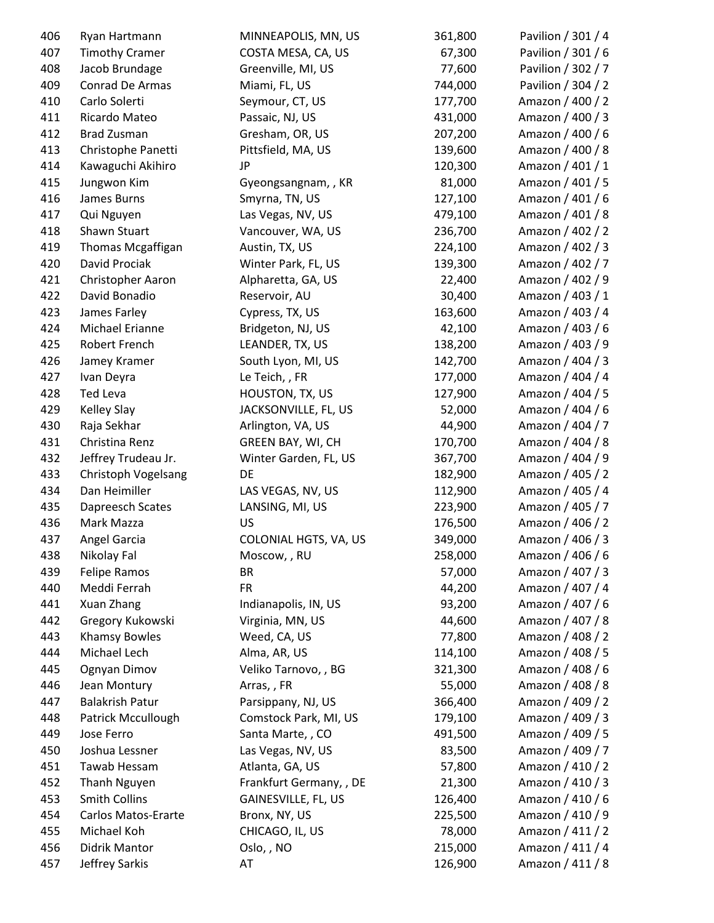| 406 | Ryan Hartmann          | MINNEAPOLIS, MN, US     | 361,800 | Pavilion / 301 / 4 |
|-----|------------------------|-------------------------|---------|--------------------|
| 407 | <b>Timothy Cramer</b>  | COSTA MESA, CA, US      | 67,300  | Pavilion / 301 / 6 |
| 408 | Jacob Brundage         | Greenville, MI, US      | 77,600  | Pavilion / 302 / 7 |
| 409 | Conrad De Armas        | Miami, FL, US           | 744,000 | Pavilion / 304 / 2 |
| 410 | Carlo Solerti          | Seymour, CT, US         | 177,700 | Amazon / 400 / 2   |
| 411 | Ricardo Mateo          | Passaic, NJ, US         | 431,000 | Amazon / 400 / 3   |
| 412 | <b>Brad Zusman</b>     | Gresham, OR, US         | 207,200 | Amazon / 400 / 6   |
| 413 | Christophe Panetti     | Pittsfield, MA, US      | 139,600 | Amazon / 400 / 8   |
| 414 | Kawaguchi Akihiro      | JP                      | 120,300 | Amazon / 401 / 1   |
| 415 | Jungwon Kim            | Gyeongsangnam, , KR     | 81,000  | Amazon / 401 / 5   |
| 416 | James Burns            | Smyrna, TN, US          | 127,100 | Amazon / 401 / 6   |
| 417 | Qui Nguyen             | Las Vegas, NV, US       | 479,100 | Amazon / 401 / 8   |
| 418 | Shawn Stuart           | Vancouver, WA, US       | 236,700 | Amazon / 402 / 2   |
| 419 | Thomas Mcgaffigan      | Austin, TX, US          | 224,100 | Amazon / 402 / 3   |
| 420 | David Prociak          | Winter Park, FL, US     | 139,300 | Amazon / 402 / 7   |
| 421 | Christopher Aaron      | Alpharetta, GA, US      | 22,400  | Amazon / 402 / 9   |
| 422 | David Bonadio          | Reservoir, AU           | 30,400  | Amazon / 403 / 1   |
| 423 | James Farley           | Cypress, TX, US         | 163,600 | Amazon / 403 / 4   |
| 424 | Michael Erianne        | Bridgeton, NJ, US       | 42,100  | Amazon / 403 / 6   |
| 425 | Robert French          | LEANDER, TX, US         | 138,200 | Amazon / 403 / 9   |
| 426 | Jamey Kramer           | South Lyon, MI, US      | 142,700 | Amazon / 404 / 3   |
| 427 | Ivan Deyra             | Le Teich, , FR          | 177,000 | Amazon / 404 / 4   |
| 428 | <b>Ted Leva</b>        | HOUSTON, TX, US         | 127,900 | Amazon / 404 / 5   |
| 429 | <b>Kelley Slay</b>     | JACKSONVILLE, FL, US    | 52,000  | Amazon / 404 / 6   |
| 430 | Raja Sekhar            | Arlington, VA, US       | 44,900  | Amazon / 404 / 7   |
| 431 | Christina Renz         | GREEN BAY, WI, CH       | 170,700 | Amazon / 404 / 8   |
| 432 | Jeffrey Trudeau Jr.    | Winter Garden, FL, US   | 367,700 | Amazon / 404 / 9   |
| 433 | Christoph Vogelsang    | DE                      | 182,900 | Amazon / 405 / 2   |
| 434 | Dan Heimiller          | LAS VEGAS, NV, US       | 112,900 | Amazon / 405 / 4   |
| 435 | Dapreesch Scates       | LANSING, MI, US         | 223,900 | Amazon / 405 / 7   |
| 436 | Mark Mazza             | <b>US</b>               | 176,500 | Amazon / 406 / 2   |
| 437 | Angel Garcia           | COLONIAL HGTS, VA, US   | 349,000 | Amazon / 406 / 3   |
| 438 | Nikolay Fal            | Moscow, , RU            | 258,000 | Amazon / 406 / 6   |
| 439 | Felipe Ramos           | BR                      | 57,000  | Amazon / 407 / 3   |
| 440 | Meddi Ferrah           | <b>FR</b>               | 44,200  | Amazon / 407 / 4   |
| 441 | <b>Xuan Zhang</b>      | Indianapolis, IN, US    | 93,200  | Amazon / 407 / 6   |
| 442 | Gregory Kukowski       | Virginia, MN, US        | 44,600  | Amazon / 407 / 8   |
| 443 | Khamsy Bowles          | Weed, CA, US            | 77,800  | Amazon / 408 / 2   |
| 444 | Michael Lech           | Alma, AR, US            | 114,100 | Amazon / 408 / 5   |
| 445 | Ognyan Dimov           | Veliko Tarnovo, , BG    | 321,300 | Amazon / 408 / 6   |
| 446 | Jean Montury           | Arras,, FR              | 55,000  | Amazon / 408 / 8   |
| 447 | <b>Balakrish Patur</b> | Parsippany, NJ, US      | 366,400 | Amazon / 409 / 2   |
| 448 | Patrick Mccullough     | Comstock Park, MI, US   | 179,100 | Amazon / 409 / 3   |
| 449 | Jose Ferro             | Santa Marte, , CO       | 491,500 | Amazon / 409 / 5   |
| 450 | Joshua Lessner         | Las Vegas, NV, US       | 83,500  | Amazon / 409 / 7   |
|     | Tawab Hessam           |                         |         | Amazon / 410 / 2   |
| 451 |                        | Atlanta, GA, US         | 57,800  |                    |
| 452 | Thanh Nguyen           | Frankfurt Germany, , DE | 21,300  | Amazon / 410 / 3   |
| 453 | <b>Smith Collins</b>   | GAINESVILLE, FL, US     | 126,400 | Amazon / 410 / 6   |
| 454 | Carlos Matos-Erarte    | Bronx, NY, US           | 225,500 | Amazon / 410 / 9   |
| 455 | Michael Koh            | CHICAGO, IL, US         | 78,000  | Amazon / 411 / 2   |
| 456 | Didrik Mantor          | Oslo, , NO              | 215,000 | Amazon / 411 / 4   |
| 457 | Jeffrey Sarkis         | AT                      | 126,900 | Amazon / 411 / 8   |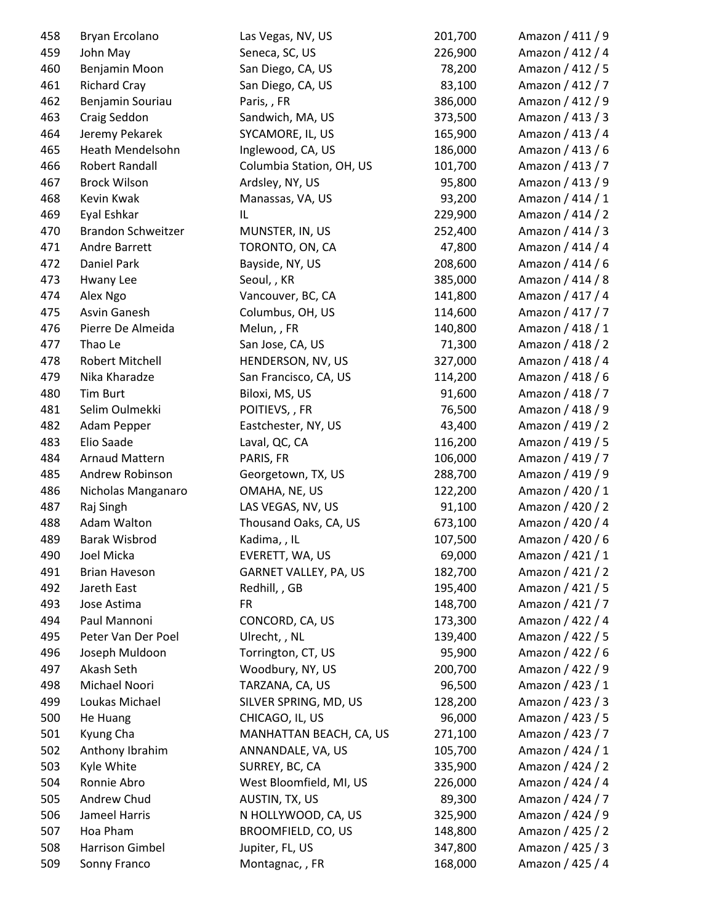| 458 | Bryan Ercolano            | Las Vegas, NV, US                      | 201,700 | Amazon / 411 / 9 |
|-----|---------------------------|----------------------------------------|---------|------------------|
| 459 | John May                  | Seneca, SC, US                         | 226,900 | Amazon / 412 / 4 |
| 460 | Benjamin Moon             | San Diego, CA, US                      | 78,200  | Amazon / 412 / 5 |
| 461 | <b>Richard Cray</b>       | San Diego, CA, US                      | 83,100  | Amazon / 412 / 7 |
| 462 | Benjamin Souriau          | Paris,, FR                             | 386,000 | Amazon / 412 / 9 |
| 463 | Craig Seddon              | Sandwich, MA, US                       | 373,500 | Amazon / 413 / 3 |
| 464 | Jeremy Pekarek            | SYCAMORE, IL, US                       | 165,900 | Amazon / 413 / 4 |
| 465 | Heath Mendelsohn          | Inglewood, CA, US                      | 186,000 | Amazon / 413 / 6 |
| 466 | Robert Randall            | Columbia Station, OH, US               | 101,700 | Amazon / 413 / 7 |
| 467 | <b>Brock Wilson</b>       | Ardsley, NY, US                        | 95,800  | Amazon / 413 / 9 |
| 468 | Kevin Kwak                | Manassas, VA, US                       | 93,200  | Amazon / 414 / 1 |
| 469 | Eyal Eshkar               | IL                                     | 229,900 | Amazon / 414 / 2 |
| 470 | <b>Brandon Schweitzer</b> | MUNSTER, IN, US                        | 252,400 | Amazon / 414 / 3 |
| 471 | Andre Barrett             | TORONTO, ON, CA                        | 47,800  | Amazon / 414 / 4 |
| 472 | Daniel Park               | Bayside, NY, US                        | 208,600 | Amazon / 414 / 6 |
| 473 | Hwany Lee                 | Seoul, , KR                            | 385,000 | Amazon / 414 / 8 |
| 474 | Alex Ngo                  | Vancouver, BC, CA                      | 141,800 | Amazon / 417 / 4 |
| 475 | Asvin Ganesh              | Columbus, OH, US                       | 114,600 | Amazon / 417 / 7 |
| 476 | Pierre De Almeida         | Melun,, FR                             | 140,800 | Amazon / 418 / 1 |
| 477 | Thao Le                   | San Jose, CA, US                       | 71,300  | Amazon / 418 / 2 |
| 478 | Robert Mitchell           | HENDERSON, NV, US                      | 327,000 | Amazon / 418 / 4 |
| 479 | Nika Kharadze             | San Francisco, CA, US                  | 114,200 | Amazon / 418 / 6 |
| 480 | <b>Tim Burt</b>           | Biloxi, MS, US                         | 91,600  | Amazon / 418 / 7 |
| 481 | Selim Oulmekki            | POITIEVS, , FR                         | 76,500  | Amazon / 418 / 9 |
| 482 | Adam Pepper               | Eastchester, NY, US                    | 43,400  | Amazon / 419 / 2 |
| 483 | Elio Saade                | Laval, QC, CA                          | 116,200 | Amazon / 419 / 5 |
| 484 | <b>Arnaud Mattern</b>     | PARIS, FR                              | 106,000 | Amazon / 419 / 7 |
| 485 | Andrew Robinson           | Georgetown, TX, US                     | 288,700 | Amazon / 419 / 9 |
| 486 | Nicholas Manganaro        | OMAHA, NE, US                          | 122,200 | Amazon / 420 / 1 |
| 487 | Raj Singh                 | LAS VEGAS, NV, US                      | 91,100  | Amazon / 420 / 2 |
| 488 | Adam Walton               | Thousand Oaks, CA, US                  | 673,100 | Amazon / 420 / 4 |
| 489 | <b>Barak Wisbrod</b>      | Kadima, , IL                           | 107,500 | Amazon / 420 / 6 |
| 490 | Joel Micka                | EVERETT, WA, US                        | 69,000  | Amazon / 421 / 1 |
| 491 | <b>Brian Haveson</b>      | GARNET VALLEY, PA, US                  | 182,700 | Amazon / 421 / 2 |
| 492 | Jareth East               | Redhill, , GB                          | 195,400 | Amazon / 421 / 5 |
| 493 | Jose Astima               | <b>FR</b>                              | 148,700 | Amazon / 421 / 7 |
| 494 | Paul Mannoni              | CONCORD, CA, US                        | 173,300 | Amazon / 422 / 4 |
| 495 | Peter Van Der Poel        | Ulrecht, , NL                          | 139,400 | Amazon / 422 / 5 |
|     | Joseph Muldoon            |                                        |         | Amazon / 422 / 6 |
| 496 | Akash Seth                | Torrington, CT, US<br>Woodbury, NY, US | 95,900  | Amazon / 422 / 9 |
| 497 |                           |                                        | 200,700 |                  |
| 498 | Michael Noori             | TARZANA, CA, US                        | 96,500  | Amazon / 423 / 1 |
| 499 | Loukas Michael            | SILVER SPRING, MD, US                  | 128,200 | Amazon / 423 / 3 |
| 500 | He Huang                  | CHICAGO, IL, US                        | 96,000  | Amazon / 423 / 5 |
| 501 | Kyung Cha                 | MANHATTAN BEACH, CA, US                | 271,100 | Amazon / 423 / 7 |
| 502 | Anthony Ibrahim           | ANNANDALE, VA, US                      | 105,700 | Amazon / 424 / 1 |
| 503 | Kyle White                | SURREY, BC, CA                         | 335,900 | Amazon / 424 / 2 |
| 504 | Ronnie Abro               | West Bloomfield, MI, US                | 226,000 | Amazon / 424 / 4 |
| 505 | Andrew Chud               | AUSTIN, TX, US                         | 89,300  | Amazon / 424 / 7 |
| 506 | Jameel Harris             | N HOLLYWOOD, CA, US                    | 325,900 | Amazon / 424 / 9 |
| 507 | Hoa Pham                  | BROOMFIELD, CO, US                     | 148,800 | Amazon / 425 / 2 |
| 508 | Harrison Gimbel           | Jupiter, FL, US                        | 347,800 | Amazon / 425 / 3 |
| 509 | Sonny Franco              | Montagnac, , FR                        | 168,000 | Amazon / 425 / 4 |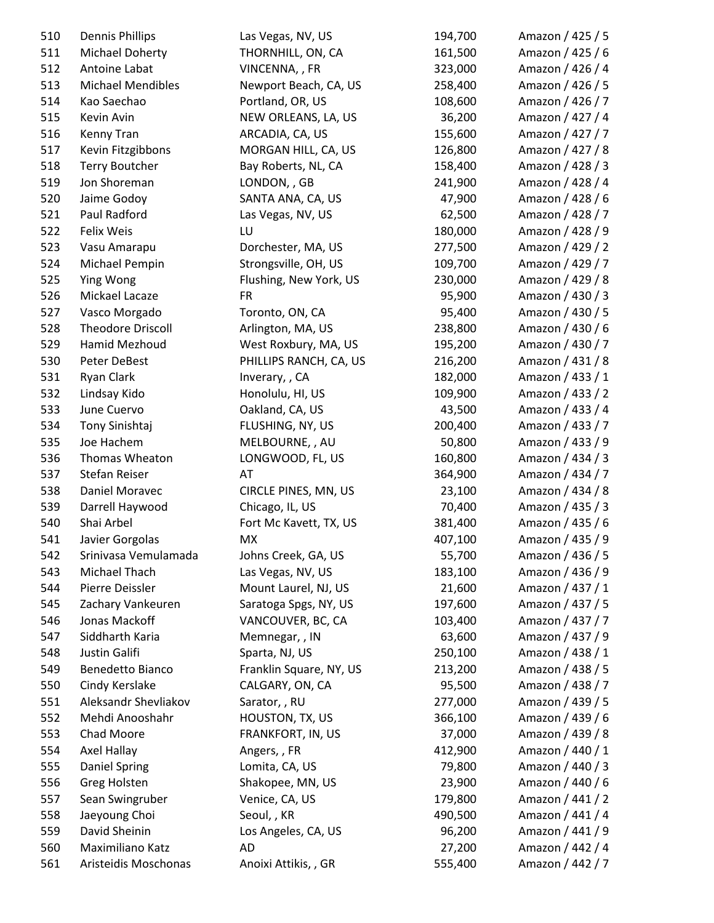| 510 | <b>Dennis Phillips</b>   | Las Vegas, NV, US       | 194,700 | Amazon / 425 / 5 |
|-----|--------------------------|-------------------------|---------|------------------|
| 511 | Michael Doherty          | THORNHILL, ON, CA       | 161,500 | Amazon / 425 / 6 |
| 512 | Antoine Labat            | VINCENNA, , FR          | 323,000 | Amazon / 426 / 4 |
| 513 | <b>Michael Mendibles</b> | Newport Beach, CA, US   | 258,400 | Amazon / 426 / 5 |
| 514 | Kao Saechao              | Portland, OR, US        | 108,600 | Amazon / 426 / 7 |
| 515 | Kevin Avin               | NEW ORLEANS, LA, US     | 36,200  | Amazon / 427 / 4 |
| 516 | Kenny Tran               | ARCADIA, CA, US         | 155,600 | Amazon / 427 / 7 |
| 517 | Kevin Fitzgibbons        | MORGAN HILL, CA, US     | 126,800 | Amazon / 427 / 8 |
| 518 | <b>Terry Boutcher</b>    | Bay Roberts, NL, CA     | 158,400 | Amazon / 428 / 3 |
| 519 | Jon Shoreman             | LONDON, , GB            | 241,900 | Amazon / 428 / 4 |
| 520 | Jaime Godoy              | SANTA ANA, CA, US       | 47,900  | Amazon / 428 / 6 |
| 521 | Paul Radford             | Las Vegas, NV, US       | 62,500  | Amazon / 428 / 7 |
| 522 | Felix Weis               | LU                      | 180,000 | Amazon / 428 / 9 |
| 523 | Vasu Amarapu             | Dorchester, MA, US      | 277,500 | Amazon / 429 / 2 |
| 524 | Michael Pempin           | Strongsville, OH, US    | 109,700 | Amazon / 429 / 7 |
| 525 | Ying Wong                | Flushing, New York, US  | 230,000 | Amazon / 429 / 8 |
| 526 | Mickael Lacaze           | <b>FR</b>               | 95,900  | Amazon / 430 / 3 |
| 527 | Vasco Morgado            | Toronto, ON, CA         | 95,400  | Amazon / 430 / 5 |
| 528 | <b>Theodore Driscoll</b> | Arlington, MA, US       | 238,800 | Amazon / 430 / 6 |
| 529 | Hamid Mezhoud            | West Roxbury, MA, US    | 195,200 | Amazon / 430 / 7 |
| 530 | Peter DeBest             | PHILLIPS RANCH, CA, US  | 216,200 | Amazon / 431 / 8 |
| 531 | Ryan Clark               | Inverary, , CA          | 182,000 | Amazon / 433 / 1 |
| 532 | Lindsay Kido             | Honolulu, HI, US        | 109,900 | Amazon / 433 / 2 |
| 533 | June Cuervo              | Oakland, CA, US         | 43,500  | Amazon / 433 / 4 |
| 534 | Tony Sinishtaj           | FLUSHING, NY, US        | 200,400 | Amazon / 433 / 7 |
| 535 | Joe Hachem               | MELBOURNE, , AU         | 50,800  | Amazon / 433 / 9 |
| 536 | Thomas Wheaton           | LONGWOOD, FL, US        | 160,800 | Amazon / 434 / 3 |
| 537 | Stefan Reiser            | AT                      | 364,900 | Amazon / 434 / 7 |
| 538 | Daniel Moravec           | CIRCLE PINES, MN, US    | 23,100  | Amazon / 434 / 8 |
| 539 | Darrell Haywood          | Chicago, IL, US         | 70,400  | Amazon / 435 / 3 |
| 540 | Shai Arbel               | Fort Mc Kavett, TX, US  | 381,400 | Amazon / 435 / 6 |
| 541 | Javier Gorgolas          | <b>MX</b>               | 407,100 | Amazon / 435 / 9 |
| 542 | Srinivasa Vemulamada     | Johns Creek, GA, US     | 55,700  | Amazon / 436 / 5 |
| 543 | Michael Thach            | Las Vegas, NV, US       | 183,100 | Amazon / 436 / 9 |
| 544 | Pierre Deissler          | Mount Laurel, NJ, US    | 21,600  | Amazon / 437 / 1 |
| 545 | Zachary Vankeuren        | Saratoga Spgs, NY, US   | 197,600 | Amazon / 437 / 5 |
| 546 | Jonas Mackoff            | VANCOUVER, BC, CA       | 103,400 | Amazon / 437 / 7 |
| 547 | Siddharth Karia          | Memnegar, , IN          | 63,600  | Amazon / 437 / 9 |
| 548 | Justin Galifi            | Sparta, NJ, US          | 250,100 | Amazon / 438 / 1 |
| 549 | Benedetto Bianco         | Franklin Square, NY, US | 213,200 | Amazon / 438 / 5 |
| 550 | Cindy Kerslake           | CALGARY, ON, CA         | 95,500  | Amazon / 438 / 7 |
| 551 | Aleksandr Shevliakov     | Sarator, , RU           | 277,000 | Amazon / 439 / 5 |
| 552 | Mehdi Anooshahr          | HOUSTON, TX, US         | 366,100 | Amazon / 439 / 6 |
| 553 | Chad Moore               | FRANKFORT, IN, US       | 37,000  | Amazon / 439 / 8 |
| 554 | Axel Hallay              | Angers,, FR             | 412,900 | Amazon / 440 / 1 |
| 555 | <b>Daniel Spring</b>     | Lomita, CA, US          | 79,800  | Amazon / 440 / 3 |
| 556 | Greg Holsten             | Shakopee, MN, US        | 23,900  | Amazon / 440 / 6 |
| 557 | Sean Swingruber          | Venice, CA, US          | 179,800 | Amazon / 441 / 2 |
| 558 | Jaeyoung Choi            | Seoul, , KR             | 490,500 | Amazon / 441 / 4 |
| 559 | David Sheinin            | Los Angeles, CA, US     | 96,200  | Amazon / 441 / 9 |
| 560 | Maximiliano Katz         | AD                      | 27,200  | Amazon / 442 / 4 |
| 561 | Aristeidis Moschonas     | Anoixi Attikis, , GR    | 555,400 | Amazon / 442 / 7 |
|     |                          |                         |         |                  |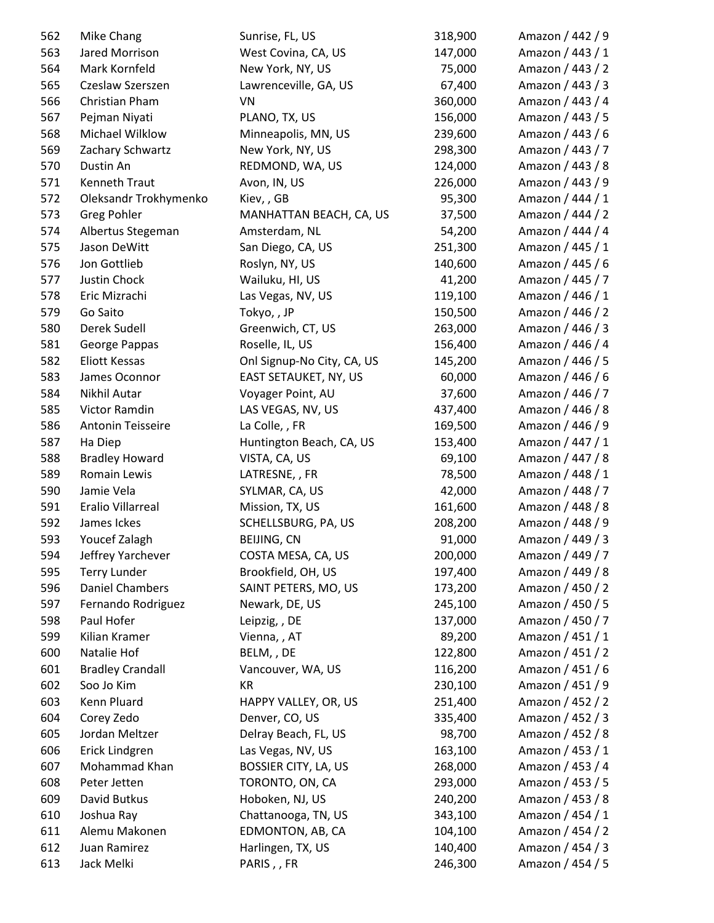| 562 | Mike Chang              | Sunrise, FL, US            | 318,900 | Amazon / 442 / 9 |
|-----|-------------------------|----------------------------|---------|------------------|
| 563 | Jared Morrison          | West Covina, CA, US        | 147,000 | Amazon / 443 / 1 |
| 564 | Mark Kornfeld           | New York, NY, US           | 75,000  | Amazon / 443 / 2 |
| 565 | Czeslaw Szerszen        | Lawrenceville, GA, US      | 67,400  | Amazon / 443 / 3 |
| 566 | Christian Pham          | VN                         | 360,000 | Amazon / 443 / 4 |
| 567 | Pejman Niyati           | PLANO, TX, US              | 156,000 | Amazon / 443 / 5 |
| 568 | Michael Wilklow         | Minneapolis, MN, US        | 239,600 | Amazon / 443 / 6 |
| 569 | Zachary Schwartz        | New York, NY, US           | 298,300 | Amazon / 443 / 7 |
| 570 | Dustin An               | REDMOND, WA, US            | 124,000 | Amazon / 443 / 8 |
| 571 | <b>Kenneth Traut</b>    | Avon, IN, US               | 226,000 | Amazon / 443 / 9 |
| 572 | Oleksandr Trokhymenko   | Kiev,, GB                  | 95,300  | Amazon / 444 / 1 |
| 573 | <b>Greg Pohler</b>      | MANHATTAN BEACH, CA, US    | 37,500  | Amazon / 444 / 2 |
| 574 | Albertus Stegeman       | Amsterdam, NL              | 54,200  | Amazon / 444 / 4 |
| 575 | Jason DeWitt            | San Diego, CA, US          | 251,300 | Amazon / 445 / 1 |
| 576 | Jon Gottlieb            | Roslyn, NY, US             | 140,600 | Amazon / 445 / 6 |
| 577 | Justin Chock            | Wailuku, HI, US            | 41,200  | Amazon / 445 / 7 |
| 578 | Eric Mizrachi           | Las Vegas, NV, US          | 119,100 | Amazon / 446 / 1 |
| 579 | Go Saito                | Tokyo,, JP                 | 150,500 | Amazon / 446 / 2 |
| 580 | Derek Sudell            | Greenwich, CT, US          | 263,000 | Amazon / 446 / 3 |
| 581 | George Pappas           | Roselle, IL, US            | 156,400 | Amazon / 446 / 4 |
| 582 | <b>Eliott Kessas</b>    | Onl Signup-No City, CA, US | 145,200 | Amazon / 446 / 5 |
| 583 | James Oconnor           | EAST SETAUKET, NY, US      | 60,000  | Amazon / 446 / 6 |
| 584 | Nikhil Autar            | Voyager Point, AU          | 37,600  | Amazon / 446 / 7 |
| 585 | Victor Ramdin           | LAS VEGAS, NV, US          | 437,400 | Amazon / 446 / 8 |
| 586 | Antonin Teisseire       | La Colle, , FR             | 169,500 | Amazon / 446 / 9 |
| 587 | Ha Diep                 | Huntington Beach, CA, US   | 153,400 | Amazon / 447 / 1 |
| 588 | <b>Bradley Howard</b>   | VISTA, CA, US              | 69,100  | Amazon / 447 / 8 |
| 589 | Romain Lewis            | LATRESNE, , FR             | 78,500  | Amazon / 448 / 1 |
| 590 | Jamie Vela              | SYLMAR, CA, US             | 42,000  | Amazon / 448 / 7 |
| 591 | Eralio Villarreal       | Mission, TX, US            | 161,600 | Amazon / 448 / 8 |
| 592 | James Ickes             | SCHELLSBURG, PA, US        | 208,200 | Amazon / 448 / 9 |
| 593 | Youcef Zalagh           | BEIJING, CN                | 91,000  | Amazon / 449 / 3 |
| 594 | Jeffrey Yarchever       | COSTA MESA, CA, US         | 200,000 | Amazon / 449 / 7 |
| 595 | <b>Terry Lunder</b>     | Brookfield, OH, US         | 197,400 | Amazon / 449 / 8 |
| 596 | <b>Daniel Chambers</b>  | SAINT PETERS, MO, US       | 173,200 | Amazon / 450 / 2 |
| 597 | Fernando Rodriguez      | Newark, DE, US             | 245,100 | Amazon / 450 / 5 |
| 598 | Paul Hofer              | Leipzig, , DE              | 137,000 | Amazon / 450 / 7 |
| 599 | Kilian Kramer           | Vienna, , AT               | 89,200  | Amazon / 451 / 1 |
| 600 | Natalie Hof             | BELM,, DE                  | 122,800 | Amazon / 451 / 2 |
| 601 | <b>Bradley Crandall</b> | Vancouver, WA, US          | 116,200 | Amazon / 451 / 6 |
| 602 | Soo Jo Kim              | KR                         | 230,100 | Amazon / 451 / 9 |
| 603 | Kenn Pluard             | HAPPY VALLEY, OR, US       | 251,400 | Amazon / 452 / 2 |
| 604 | Corey Zedo              | Denver, CO, US             | 335,400 | Amazon / 452 / 3 |
| 605 | Jordan Meltzer          | Delray Beach, FL, US       | 98,700  | Amazon / 452 / 8 |
| 606 | Erick Lindgren          | Las Vegas, NV, US          | 163,100 | Amazon / 453 / 1 |
| 607 | Mohammad Khan           | BOSSIER CITY, LA, US       | 268,000 | Amazon / 453 / 4 |
| 608 | Peter Jetten            | TORONTO, ON, CA            | 293,000 | Amazon / 453 / 5 |
| 609 | David Butkus            | Hoboken, NJ, US            | 240,200 | Amazon / 453 / 8 |
| 610 | Joshua Ray              | Chattanooga, TN, US        | 343,100 | Amazon / 454 / 1 |
| 611 | Alemu Makonen           | EDMONTON, AB, CA           | 104,100 | Amazon / 454 / 2 |
| 612 | Juan Ramirez            | Harlingen, TX, US          | 140,400 | Amazon / 454 / 3 |
| 613 | Jack Melki              | PARIS, , FR                | 246,300 | Amazon / 454 / 5 |
|     |                         |                            |         |                  |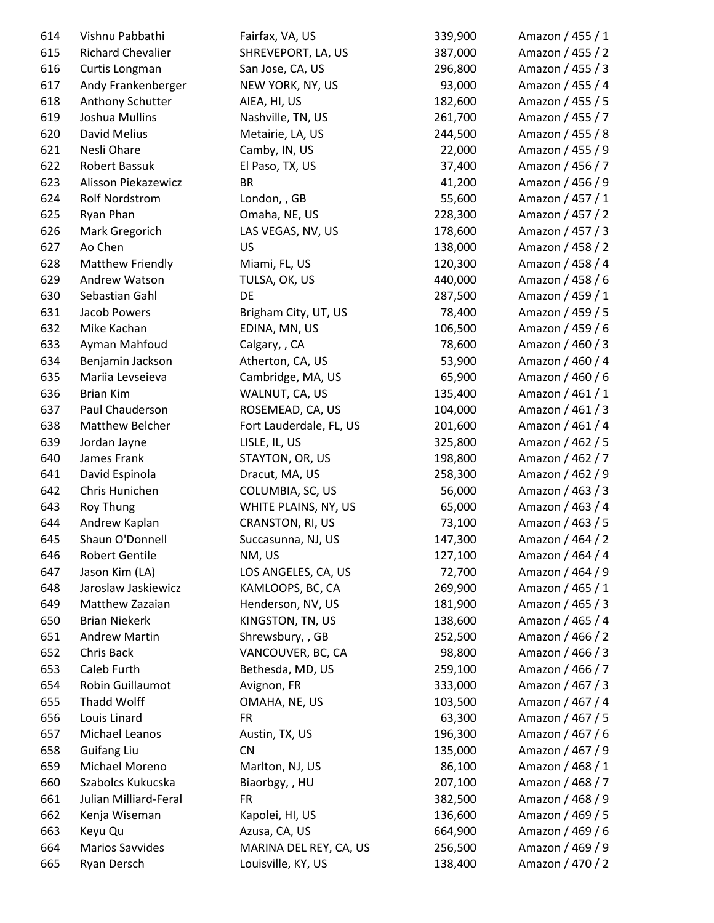| 614 | Vishnu Pabbathi          | Fairfax, VA, US             | 339,900 | Amazon / 455 / 1 |
|-----|--------------------------|-----------------------------|---------|------------------|
| 615 | <b>Richard Chevalier</b> | SHREVEPORT, LA, US          | 387,000 | Amazon / 455 / 2 |
| 616 | Curtis Longman           | San Jose, CA, US            | 296,800 | Amazon / 455 / 3 |
| 617 | Andy Frankenberger       | NEW YORK, NY, US            | 93,000  | Amazon / 455 / 4 |
| 618 | Anthony Schutter         | AIEA, HI, US                | 182,600 | Amazon / 455 / 5 |
| 619 | Joshua Mullins           | Nashville, TN, US           | 261,700 | Amazon / 455 / 7 |
| 620 | David Melius             | Metairie, LA, US            | 244,500 | Amazon / 455 / 8 |
| 621 | Nesli Ohare              | Camby, IN, US               | 22,000  | Amazon / 455 / 9 |
| 622 | Robert Bassuk            | El Paso, TX, US             | 37,400  | Amazon / 456 / 7 |
| 623 | Alisson Piekazewicz      | <b>BR</b>                   | 41,200  | Amazon / 456 / 9 |
| 624 | <b>Rolf Nordstrom</b>    | London, , GB                | 55,600  | Amazon / 457 / 1 |
| 625 | Ryan Phan                | Omaha, NE, US               | 228,300 | Amazon / 457 / 2 |
| 626 | Mark Gregorich           | LAS VEGAS, NV, US           | 178,600 | Amazon / 457 / 3 |
| 627 | Ao Chen                  | US                          | 138,000 | Amazon / 458 / 2 |
| 628 | Matthew Friendly         | Miami, FL, US               | 120,300 | Amazon / 458 / 4 |
| 629 | Andrew Watson            | TULSA, OK, US               | 440,000 | Amazon / 458 / 6 |
| 630 | Sebastian Gahl           | DE                          | 287,500 | Amazon / 459 / 1 |
| 631 | Jacob Powers             | Brigham City, UT, US        | 78,400  | Amazon / 459 / 5 |
| 632 | Mike Kachan              | EDINA, MN, US               | 106,500 | Amazon / 459 / 6 |
| 633 | Ayman Mahfoud            | Calgary, , CA               | 78,600  | Amazon / 460 / 3 |
| 634 | Benjamin Jackson         | Atherton, CA, US            | 53,900  | Amazon / 460 / 4 |
| 635 | Mariia Levseieva         | Cambridge, MA, US           | 65,900  | Amazon / 460 / 6 |
| 636 | <b>Brian Kim</b>         | WALNUT, CA, US              | 135,400 | Amazon / 461 / 1 |
| 637 | Paul Chauderson          | ROSEMEAD, CA, US            | 104,000 | Amazon / 461 / 3 |
| 638 | Matthew Belcher          | Fort Lauderdale, FL, US     | 201,600 | Amazon / 461 / 4 |
| 639 | Jordan Jayne             | LISLE, IL, US               | 325,800 | Amazon / 462 / 5 |
| 640 | James Frank              | STAYTON, OR, US             | 198,800 | Amazon / 462 / 7 |
| 641 | David Espinola           | Dracut, MA, US              | 258,300 | Amazon / 462 / 9 |
| 642 | Chris Hunichen           | COLUMBIA, SC, US            | 56,000  | Amazon / 463 / 3 |
| 643 | Roy Thung                | WHITE PLAINS, NY, US        | 65,000  | Amazon / 463 / 4 |
| 644 | Andrew Kaplan            | CRANSTON, RI, US            | 73,100  | Amazon / 463 / 5 |
| 645 | Shaun O'Donnell          | Succasunna, NJ, US          | 147,300 | Amazon / 464 / 2 |
| 646 | <b>Robert Gentile</b>    | NM, US                      | 127,100 | Amazon / 464 / 4 |
| 647 | Jason Kim (LA)           | LOS ANGELES, CA, US         | 72,700  | Amazon / 464 / 9 |
| 648 | Jaroslaw Jaskiewicz      | KAMLOOPS, BC, CA            | 269,900 | Amazon / 465 / 1 |
| 649 | Matthew Zazaian          | Henderson, NV, US           | 181,900 | Amazon / 465 / 3 |
| 650 | <b>Brian Niekerk</b>     | KINGSTON, TN, US            | 138,600 | Amazon / 465 / 4 |
| 651 | <b>Andrew Martin</b>     | Shrewsbury, , GB            | 252,500 | Amazon / 466 / 2 |
| 652 | Chris Back               | VANCOUVER, BC, CA           | 98,800  | Amazon / 466 / 3 |
| 653 | Caleb Furth              | Bethesda, MD, US            | 259,100 | Amazon / 466 / 7 |
| 654 | Robin Guillaumot         | Avignon, FR                 | 333,000 | Amazon / 467 / 3 |
| 655 | Thadd Wolff              | OMAHA, NE, US               | 103,500 | Amazon / 467 / 4 |
| 656 | Louis Linard             | FR.                         | 63,300  | Amazon / 467 / 5 |
| 657 | Michael Leanos           | Austin, TX, US              | 196,300 | Amazon / 467 / 6 |
| 658 | <b>Guifang Liu</b>       | CN                          | 135,000 | Amazon / 467 / 9 |
| 659 | Michael Moreno           | Marlton, NJ, US             | 86,100  | Amazon / 468 / 1 |
| 660 | Szabolcs Kukucska        |                             | 207,100 | Amazon / 468 / 7 |
| 661 | Julian Milliard-Feral    | Biaorbgy, , HU<br><b>FR</b> | 382,500 | Amazon / 468 / 9 |
| 662 | Kenja Wiseman            | Kapolei, HI, US             | 136,600 | Amazon / 469 / 5 |
| 663 | Keyu Qu                  | Azusa, CA, US               | 664,900 | Amazon / 469 / 6 |
| 664 | <b>Marios Savvides</b>   | MARINA DEL REY, CA, US      | 256,500 | Amazon / 469 / 9 |
| 665 | Ryan Dersch              | Louisville, KY, US          | 138,400 | Amazon / 470 / 2 |
|     |                          |                             |         |                  |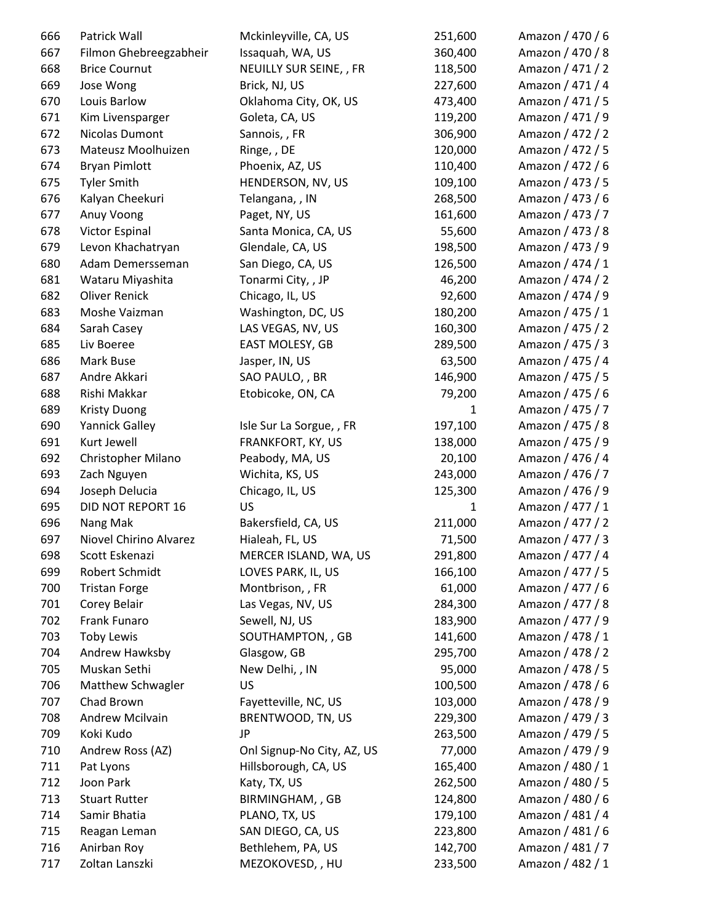| 666 | Patrick Wall             | Mckinleyville, CA, US      | 251,600      | Amazon / 470 / 6 |
|-----|--------------------------|----------------------------|--------------|------------------|
| 667 | Filmon Ghebreegzabheir   | Issaquah, WA, US           | 360,400      | Amazon / 470 / 8 |
| 668 | <b>Brice Cournut</b>     | NEUILLY SUR SEINE, , FR    | 118,500      | Amazon / 471 / 2 |
| 669 | Jose Wong                | Brick, NJ, US              | 227,600      | Amazon / 471 / 4 |
| 670 | Louis Barlow             | Oklahoma City, OK, US      | 473,400      | Amazon / 471 / 5 |
| 671 | Kim Livensparger         | Goleta, CA, US             | 119,200      | Amazon / 471 / 9 |
| 672 | Nicolas Dumont           | Sannois, , FR              | 306,900      | Amazon / 472 / 2 |
| 673 | Mateusz Moolhuizen       | Ringe, , DE                | 120,000      | Amazon / 472 / 5 |
| 674 | <b>Bryan Pimlott</b>     | Phoenix, AZ, US            | 110,400      | Amazon / 472 / 6 |
| 675 | <b>Tyler Smith</b>       | HENDERSON, NV, US          | 109,100      | Amazon / 473 / 5 |
| 676 | Kalyan Cheekuri          | Telangana, , IN            | 268,500      | Amazon / 473 / 6 |
| 677 | Anuy Voong               | Paget, NY, US              | 161,600      | Amazon / 473 / 7 |
| 678 | Victor Espinal           | Santa Monica, CA, US       | 55,600       | Amazon / 473 / 8 |
| 679 | Levon Khachatryan        | Glendale, CA, US           | 198,500      | Amazon / 473 / 9 |
| 680 | Adam Demersseman         | San Diego, CA, US          | 126,500      | Amazon / 474 / 1 |
| 681 | Wataru Miyashita         | Tonarmi City, , JP         | 46,200       | Amazon / 474 / 2 |
| 682 | <b>Oliver Renick</b>     | Chicago, IL, US            | 92,600       | Amazon / 474 / 9 |
| 683 | Moshe Vaizman            | Washington, DC, US         | 180,200      | Amazon / 475 / 1 |
| 684 | Sarah Casey              | LAS VEGAS, NV, US          | 160,300      | Amazon / 475 / 2 |
| 685 | Liv Boeree               | EAST MOLESY, GB            | 289,500      | Amazon / 475 / 3 |
| 686 | Mark Buse                | Jasper, IN, US             | 63,500       | Amazon / 475 / 4 |
| 687 | Andre Akkari             | SAO PAULO, , BR            | 146,900      | Amazon / 475 / 5 |
| 688 | Rishi Makkar             | Etobicoke, ON, CA          | 79,200       | Amazon / 475 / 6 |
| 689 | <b>Kristy Duong</b>      |                            | $\mathbf{1}$ | Amazon / 475 / 7 |
| 690 | <b>Yannick Galley</b>    | Isle Sur La Sorgue, , FR   | 197,100      | Amazon / 475 / 8 |
| 691 | Kurt Jewell              | FRANKFORT, KY, US          | 138,000      | Amazon / 475 / 9 |
| 692 | Christopher Milano       | Peabody, MA, US            | 20,100       | Amazon / 476 / 4 |
| 693 | Zach Nguyen              | Wichita, KS, US            | 243,000      | Amazon / 476 / 7 |
| 694 | Joseph Delucia           | Chicago, IL, US            | 125,300      | Amazon / 476 / 9 |
| 695 | <b>DID NOT REPORT 16</b> | US                         | $\mathbf{1}$ | Amazon / 477 / 1 |
| 696 | Nang Mak                 | Bakersfield, CA, US        | 211,000      | Amazon / 477 / 2 |
| 697 | Niovel Chirino Alvarez   | Hialeah, FL, US            | 71,500       | Amazon / 477 / 3 |
| 698 | Scott Eskenazi           | MERCER ISLAND, WA, US      | 291,800      | Amazon / 477 / 4 |
| 699 | Robert Schmidt           | LOVES PARK, IL, US         | 166,100      | Amazon / 477 / 5 |
| 700 | <b>Tristan Forge</b>     | Montbrison, , FR           | 61,000       | Amazon / 477 / 6 |
| 701 | Corey Belair             | Las Vegas, NV, US          | 284,300      | Amazon / 477 / 8 |
| 702 | Frank Funaro             | Sewell, NJ, US             | 183,900      | Amazon / 477 / 9 |
| 703 | <b>Toby Lewis</b>        | SOUTHAMPTON, , GB          | 141,600      | Amazon / 478 / 1 |
| 704 | Andrew Hawksby           | Glasgow, GB                | 295,700      | Amazon / 478 / 2 |
| 705 | Muskan Sethi             | New Delhi, , IN            | 95,000       | Amazon / 478 / 5 |
| 706 | Matthew Schwagler        | US                         | 100,500      | Amazon / 478 / 6 |
| 707 | Chad Brown               | Fayetteville, NC, US       | 103,000      | Amazon / 478 / 9 |
| 708 | Andrew Mcilvain          | BRENTWOOD, TN, US          | 229,300      | Amazon / 479 / 3 |
| 709 | Koki Kudo                | JP                         | 263,500      | Amazon / 479 / 5 |
| 710 | Andrew Ross (AZ)         | Onl Signup-No City, AZ, US | 77,000       | Amazon / 479 / 9 |
| 711 | Pat Lyons                | Hillsborough, CA, US       | 165,400      | Amazon / 480 / 1 |
| 712 | Joon Park                | Katy, TX, US               | 262,500      | Amazon / 480 / 5 |
| 713 | <b>Stuart Rutter</b>     | BIRMINGHAM,, GB            | 124,800      | Amazon / 480 / 6 |
| 714 | Samir Bhatia             | PLANO, TX, US              | 179,100      | Amazon / 481 / 4 |
| 715 | Reagan Leman             | SAN DIEGO, CA, US          | 223,800      | Amazon / 481 / 6 |
| 716 | Anirban Roy              | Bethlehem, PA, US          | 142,700      | Amazon / 481 / 7 |
| 717 | Zoltan Lanszki           | MEZOKOVESD,, HU            | 233,500      | Amazon / 482 / 1 |
|     |                          |                            |              |                  |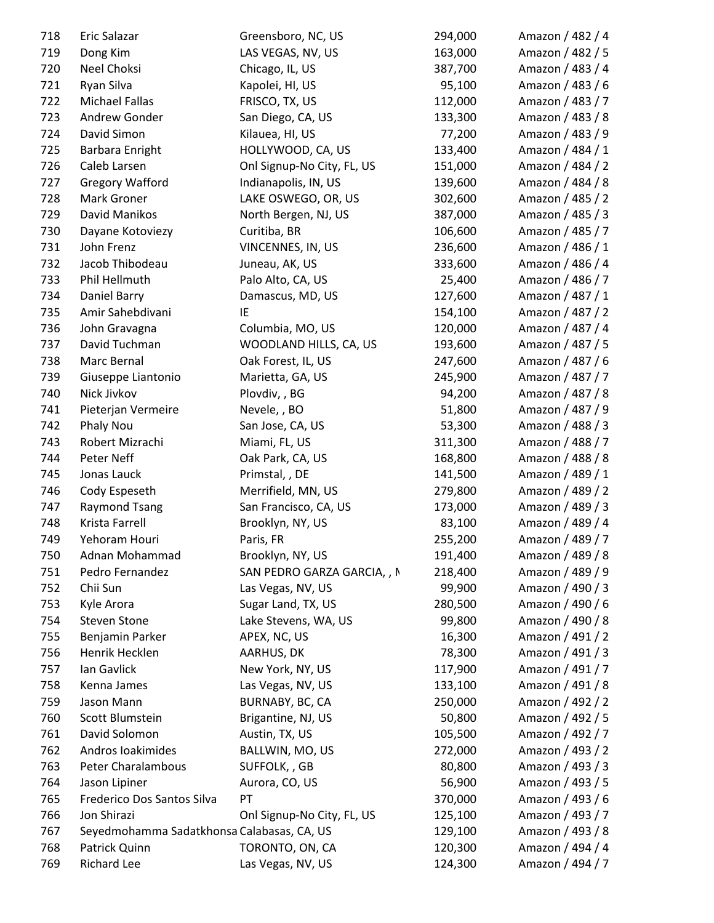| 718 | Eric Salazar                               | Greensboro, NC, US          | 294,000 | Amazon / 482 / 4 |
|-----|--------------------------------------------|-----------------------------|---------|------------------|
| 719 | Dong Kim                                   | LAS VEGAS, NV, US           | 163,000 | Amazon / 482 / 5 |
| 720 | Neel Choksi                                | Chicago, IL, US             | 387,700 | Amazon / 483 / 4 |
| 721 | Ryan Silva                                 | Kapolei, HI, US             | 95,100  | Amazon / 483 / 6 |
| 722 | <b>Michael Fallas</b>                      | FRISCO, TX, US              | 112,000 | Amazon / 483 / 7 |
| 723 | Andrew Gonder                              | San Diego, CA, US           | 133,300 | Amazon / 483 / 8 |
| 724 | David Simon                                | Kilauea, HI, US             | 77,200  | Amazon / 483 / 9 |
| 725 | Barbara Enright                            | HOLLYWOOD, CA, US           | 133,400 | Amazon / 484 / 1 |
| 726 | Caleb Larsen                               | Onl Signup-No City, FL, US  | 151,000 | Amazon / 484 / 2 |
| 727 | <b>Gregory Wafford</b>                     | Indianapolis, IN, US        | 139,600 | Amazon / 484 / 8 |
| 728 | Mark Groner                                | LAKE OSWEGO, OR, US         | 302,600 | Amazon / 485 / 2 |
| 729 | David Manikos                              | North Bergen, NJ, US        | 387,000 | Amazon / 485 / 3 |
| 730 | Dayane Kotoviezy                           | Curitiba, BR                | 106,600 | Amazon / 485 / 7 |
| 731 | John Frenz                                 | VINCENNES, IN, US           | 236,600 | Amazon / 486 / 1 |
| 732 | Jacob Thibodeau                            | Juneau, AK, US              | 333,600 | Amazon / 486 / 4 |
| 733 | Phil Hellmuth                              | Palo Alto, CA, US           | 25,400  | Amazon / 486 / 7 |
| 734 | Daniel Barry                               | Damascus, MD, US            | 127,600 | Amazon / 487 / 1 |
| 735 | Amir Sahebdivani                           | IE                          | 154,100 | Amazon / 487 / 2 |
| 736 | John Gravagna                              | Columbia, MO, US            | 120,000 | Amazon / 487 / 4 |
| 737 | David Tuchman                              | WOODLAND HILLS, CA, US      | 193,600 | Amazon / 487 / 5 |
| 738 | Marc Bernal                                | Oak Forest, IL, US          | 247,600 | Amazon / 487 / 6 |
| 739 | Giuseppe Liantonio                         | Marietta, GA, US            | 245,900 | Amazon / 487 / 7 |
| 740 | Nick Jivkov                                | Plovdiv, , BG               | 94,200  | Amazon / 487 / 8 |
| 741 | Pieterjan Vermeire                         | Nevele, , BO                | 51,800  | Amazon / 487 / 9 |
| 742 | Phaly Nou                                  | San Jose, CA, US            | 53,300  | Amazon / 488 / 3 |
| 743 | Robert Mizrachi                            | Miami, FL, US               | 311,300 | Amazon / 488 / 7 |
| 744 | Peter Neff                                 | Oak Park, CA, US            | 168,800 | Amazon / 488 / 8 |
| 745 | Jonas Lauck                                | Primstal, , DE              | 141,500 | Amazon / 489 / 1 |
| 746 | Cody Espeseth                              | Merrifield, MN, US          | 279,800 | Amazon / 489 / 2 |
| 747 | <b>Raymond Tsang</b>                       | San Francisco, CA, US       | 173,000 | Amazon / 489 / 3 |
| 748 | Krista Farrell                             | Brooklyn, NY, US            | 83,100  | Amazon / 489 / 4 |
| 749 | Yehoram Houri                              | Paris, FR                   | 255,200 | Amazon / 489 / 7 |
| 750 | Adnan Mohammad                             | Brooklyn, NY, US            | 191,400 | Amazon / 489 / 8 |
| 751 | Pedro Fernandez                            | SAN PEDRO GARZA GARCIA, , N | 218,400 | Amazon / 489 / 9 |
| 752 | Chii Sun                                   | Las Vegas, NV, US           | 99,900  | Amazon / 490 / 3 |
| 753 | Kyle Arora                                 | Sugar Land, TX, US          | 280,500 | Amazon / 490 / 6 |
| 754 | <b>Steven Stone</b>                        | Lake Stevens, WA, US        | 99,800  | Amazon / 490 / 8 |
| 755 | Benjamin Parker                            | APEX, NC, US                | 16,300  | Amazon / 491 / 2 |
| 756 | Henrik Hecklen                             | AARHUS, DK                  | 78,300  | Amazon / 491 / 3 |
| 757 | Ian Gavlick                                | New York, NY, US            | 117,900 | Amazon / 491 / 7 |
| 758 | Kenna James                                | Las Vegas, NV, US           | 133,100 | Amazon / 491 / 8 |
| 759 | Jason Mann                                 | BURNABY, BC, CA             | 250,000 | Amazon / 492 / 2 |
| 760 | Scott Blumstein                            | Brigantine, NJ, US          | 50,800  | Amazon / 492 / 5 |
| 761 | David Solomon                              | Austin, TX, US              | 105,500 | Amazon / 492 / 7 |
| 762 | Andros Ioakimides                          | BALLWIN, MO, US             | 272,000 | Amazon / 493 / 2 |
| 763 | Peter Charalambous                         | SUFFOLK, , GB               | 80,800  | Amazon / 493 / 3 |
| 764 | Jason Lipiner                              | Aurora, CO, US              | 56,900  | Amazon / 493 / 5 |
| 765 | Frederico Dos Santos Silva                 | PT                          | 370,000 | Amazon / 493 / 6 |
| 766 | Jon Shirazi                                | Onl Signup-No City, FL, US  | 125,100 | Amazon / 493 / 7 |
| 767 | Seyedmohamma Sadatkhonsa Calabasas, CA, US |                             | 129,100 | Amazon / 493 / 8 |
| 768 | Patrick Quinn                              | TORONTO, ON, CA             | 120,300 | Amazon / 494 / 4 |
| 769 | Richard Lee                                | Las Vegas, NV, US           | 124,300 | Amazon / 494 / 7 |
|     |                                            |                             |         |                  |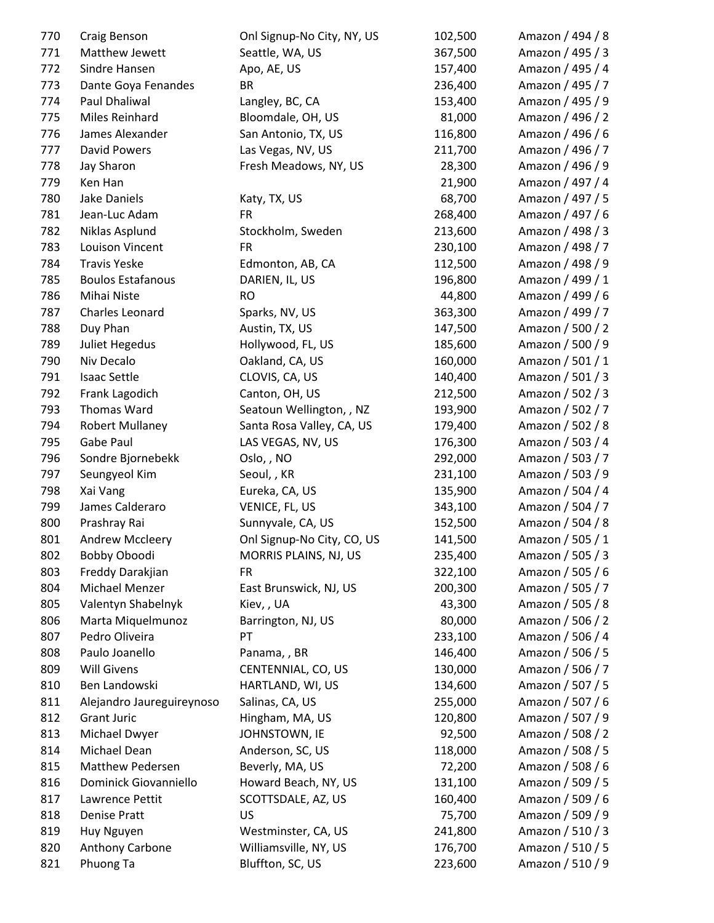| 770 | Craig Benson              | Onl Signup-No City, NY, US | 102,500 | Amazon / 494 / 8 |
|-----|---------------------------|----------------------------|---------|------------------|
| 771 | Matthew Jewett            | Seattle, WA, US            | 367,500 | Amazon / 495 / 3 |
| 772 | Sindre Hansen             | Apo, AE, US                | 157,400 | Amazon / 495 / 4 |
| 773 | Dante Goya Fenandes       | <b>BR</b>                  | 236,400 | Amazon / 495 / 7 |
| 774 | Paul Dhaliwal             | Langley, BC, CA            | 153,400 | Amazon / 495 / 9 |
| 775 | Miles Reinhard            | Bloomdale, OH, US          | 81,000  | Amazon / 496 / 2 |
| 776 | James Alexander           | San Antonio, TX, US        | 116,800 | Amazon / 496 / 6 |
| 777 | <b>David Powers</b>       | Las Vegas, NV, US          | 211,700 | Amazon / 496 / 7 |
| 778 | Jay Sharon                | Fresh Meadows, NY, US      | 28,300  | Amazon / 496 / 9 |
| 779 | Ken Han                   |                            | 21,900  | Amazon / 497 / 4 |
| 780 | Jake Daniels              | Katy, TX, US               | 68,700  | Amazon / 497 / 5 |
| 781 | Jean-Luc Adam             | <b>FR</b>                  | 268,400 | Amazon / 497 / 6 |
| 782 | Niklas Asplund            | Stockholm, Sweden          | 213,600 | Amazon / 498 / 3 |
| 783 | Louison Vincent           | <b>FR</b>                  | 230,100 | Amazon / 498 / 7 |
| 784 | <b>Travis Yeske</b>       | Edmonton, AB, CA           | 112,500 | Amazon / 498 / 9 |
| 785 | <b>Boulos Estafanous</b>  | DARIEN, IL, US             | 196,800 | Amazon / 499 / 1 |
| 786 | Mihai Niste               | <b>RO</b>                  | 44,800  | Amazon / 499 / 6 |
| 787 | Charles Leonard           | Sparks, NV, US             | 363,300 | Amazon / 499 / 7 |
| 788 | Duy Phan                  | Austin, TX, US             | 147,500 | Amazon / 500 / 2 |
| 789 | <b>Juliet Hegedus</b>     | Hollywood, FL, US          | 185,600 | Amazon / 500 / 9 |
| 790 | Niv Decalo                | Oakland, CA, US            | 160,000 | Amazon / 501 / 1 |
| 791 | <b>Isaac Settle</b>       | CLOVIS, CA, US             | 140,400 | Amazon / 501 / 3 |
| 792 | Frank Lagodich            | Canton, OH, US             | 212,500 | Amazon / 502 / 3 |
| 793 | Thomas Ward               | Seatoun Wellington, , NZ   | 193,900 | Amazon / 502 / 7 |
| 794 | <b>Robert Mullaney</b>    | Santa Rosa Valley, CA, US  | 179,400 | Amazon / 502 / 8 |
| 795 | Gabe Paul                 | LAS VEGAS, NV, US          | 176,300 | Amazon / 503 / 4 |
| 796 | Sondre Bjornebekk         | Oslo, , NO                 | 292,000 | Amazon / 503 / 7 |
| 797 | Seungyeol Kim             | Seoul, , KR                | 231,100 | Amazon / 503 / 9 |
| 798 | Xai Vang                  | Eureka, CA, US             | 135,900 | Amazon / 504 / 4 |
| 799 | James Calderaro           | VENICE, FL, US             | 343,100 | Amazon / 504 / 7 |
| 800 | Prashray Rai              | Sunnyvale, CA, US          | 152,500 | Amazon / 504 / 8 |
| 801 | <b>Andrew Mccleery</b>    | Onl Signup-No City, CO, US | 141,500 | Amazon / 505 / 1 |
| 802 | Bobby Oboodi              | MORRIS PLAINS, NJ, US      | 235,400 | Amazon / 505 / 3 |
| 803 | Freddy Darakjian          | <b>FR</b>                  | 322,100 | Amazon / 505 / 6 |
| 804 | Michael Menzer            | East Brunswick, NJ, US     | 200,300 | Amazon / 505 / 7 |
| 805 | Valentyn Shabelnyk        | Kiev, , UA                 | 43,300  | Amazon / 505 / 8 |
| 806 | Marta Miquelmunoz         | Barrington, NJ, US         | 80,000  | Amazon / 506 / 2 |
| 807 | Pedro Oliveira            | PT                         | 233,100 | Amazon / 506 / 4 |
| 808 | Paulo Joanello            | Panama, , BR               | 146,400 | Amazon / 506 / 5 |
| 809 | <b>Will Givens</b>        | CENTENNIAL, CO, US         | 130,000 | Amazon / 506 / 7 |
| 810 | Ben Landowski             | HARTLAND, WI, US           | 134,600 | Amazon / 507 / 5 |
| 811 | Alejandro Jaureguireynoso | Salinas, CA, US            | 255,000 | Amazon / 507 / 6 |
| 812 | <b>Grant Juric</b>        | Hingham, MA, US            | 120,800 | Amazon / 507 / 9 |
| 813 | Michael Dwyer             | JOHNSTOWN, IE              | 92,500  | Amazon / 508 / 2 |
| 814 | Michael Dean              | Anderson, SC, US           | 118,000 | Amazon / 508 / 5 |
| 815 | Matthew Pedersen          | Beverly, MA, US            | 72,200  | Amazon / 508 / 6 |
| 816 | Dominick Giovanniello     | Howard Beach, NY, US       | 131,100 | Amazon / 509 / 5 |
| 817 | Lawrence Pettit           | SCOTTSDALE, AZ, US         | 160,400 | Amazon / 509 / 6 |
| 818 | Denise Pratt              | US                         | 75,700  | Amazon / 509 / 9 |
| 819 | Huy Nguyen                | Westminster, CA, US        | 241,800 | Amazon / 510 / 3 |
| 820 | Anthony Carbone           | Williamsville, NY, US      | 176,700 | Amazon / 510 / 5 |
| 821 | Phuong Ta                 | Bluffton, SC, US           | 223,600 | Amazon / 510 / 9 |
|     |                           |                            |         |                  |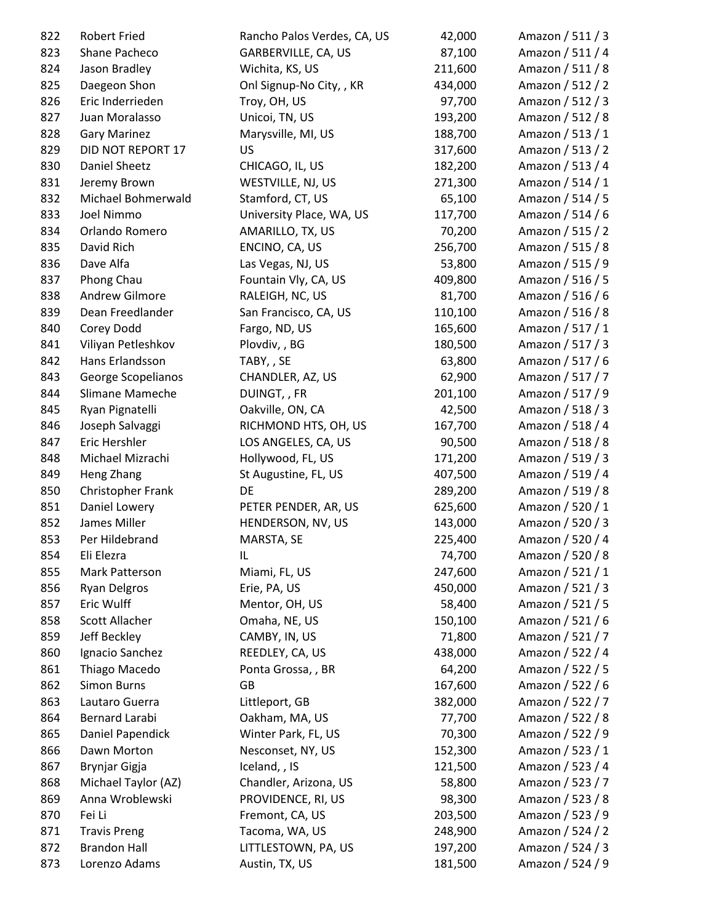| 822 | <b>Robert Fried</b>   | Rancho Palos Verdes, CA, US | 42,000  | Amazon / 511 / 3 |
|-----|-----------------------|-----------------------------|---------|------------------|
| 823 | Shane Pacheco         | GARBERVILLE, CA, US         | 87,100  | Amazon / 511 / 4 |
| 824 | Jason Bradley         | Wichita, KS, US             | 211,600 | Amazon / 511 / 8 |
| 825 | Daegeon Shon          | Onl Signup-No City, , KR    | 434,000 | Amazon / 512 / 2 |
| 826 | Eric Inderrieden      | Troy, OH, US                | 97,700  | Amazon / 512 / 3 |
| 827 | Juan Moralasso        | Unicoi, TN, US              | 193,200 | Amazon / 512 / 8 |
| 828 | <b>Gary Marinez</b>   | Marysville, MI, US          | 188,700 | Amazon / 513 / 1 |
| 829 | DID NOT REPORT 17     | US                          | 317,600 | Amazon / 513 / 2 |
| 830 | Daniel Sheetz         | CHICAGO, IL, US             | 182,200 | Amazon / 513 / 4 |
| 831 | Jeremy Brown          | WESTVILLE, NJ, US           | 271,300 | Amazon / 514 / 1 |
| 832 | Michael Bohmerwald    | Stamford, CT, US            | 65,100  | Amazon / 514 / 5 |
| 833 | Joel Nimmo            | University Place, WA, US    | 117,700 | Amazon / 514 / 6 |
| 834 | Orlando Romero        | AMARILLO, TX, US            | 70,200  | Amazon / 515 / 2 |
| 835 | David Rich            | ENCINO, CA, US              | 256,700 | Amazon / 515 / 8 |
| 836 | Dave Alfa             | Las Vegas, NJ, US           | 53,800  | Amazon / 515 / 9 |
| 837 | Phong Chau            | Fountain Vly, CA, US        | 409,800 | Amazon / 516 / 5 |
| 838 | Andrew Gilmore        | RALEIGH, NC, US             | 81,700  | Amazon / 516 / 6 |
| 839 | Dean Freedlander      | San Francisco, CA, US       | 110,100 | Amazon / 516 / 8 |
| 840 | Corey Dodd            | Fargo, ND, US               | 165,600 | Amazon / 517 / 1 |
| 841 | Viliyan Petleshkov    | Plovdiv, , BG               | 180,500 | Amazon / 517 / 3 |
| 842 | Hans Erlandsson       | TABY, , SE                  | 63,800  | Amazon / 517 / 6 |
| 843 | George Scopelianos    | CHANDLER, AZ, US            | 62,900  | Amazon / 517 / 7 |
| 844 | Slimane Mameche       | DUINGT,, FR                 | 201,100 | Amazon / 517 / 9 |
| 845 | Ryan Pignatelli       | Oakville, ON, CA            | 42,500  | Amazon / 518 / 3 |
| 846 | Joseph Salvaggi       | RICHMOND HTS, OH, US        | 167,700 | Amazon / 518 / 4 |
| 847 | Eric Hershler         | LOS ANGELES, CA, US         | 90,500  | Amazon / 518 / 8 |
| 848 | Michael Mizrachi      | Hollywood, FL, US           | 171,200 | Amazon / 519 / 3 |
| 849 | Heng Zhang            | St Augustine, FL, US        | 407,500 | Amazon / 519 / 4 |
| 850 | Christopher Frank     | DE                          | 289,200 | Amazon / 519 / 8 |
| 851 | Daniel Lowery         | PETER PENDER, AR, US        | 625,600 | Amazon / 520 / 1 |
| 852 | James Miller          | HENDERSON, NV, US           | 143,000 | Amazon / 520 / 3 |
| 853 | Per Hildebrand        | MARSTA, SE                  | 225,400 | Amazon / 520 / 4 |
| 854 | Eli Elezra            | IL                          | 74,700  | Amazon / 520 / 8 |
| 855 | Mark Patterson        | Miami, FL, US               | 247,600 | Amazon / 521 / 1 |
| 856 | <b>Ryan Delgros</b>   | Erie, PA, US                | 450,000 | Amazon / 521 / 3 |
| 857 | Eric Wulff            | Mentor, OH, US              | 58,400  | Amazon / 521 / 5 |
| 858 | <b>Scott Allacher</b> | Omaha, NE, US               | 150,100 | Amazon / 521 / 6 |
| 859 | Jeff Beckley          | CAMBY, IN, US               | 71,800  | Amazon / 521 / 7 |
| 860 | Ignacio Sanchez       | REEDLEY, CA, US             | 438,000 | Amazon / 522 / 4 |
| 861 | Thiago Macedo         | Ponta Grossa, , BR          | 64,200  | Amazon / 522 / 5 |
| 862 | <b>Simon Burns</b>    | GB                          | 167,600 | Amazon / 522 / 6 |
| 863 | Lautaro Guerra        | Littleport, GB              | 382,000 | Amazon / 522 / 7 |
| 864 | Bernard Larabi        | Oakham, MA, US              | 77,700  | Amazon / 522 / 8 |
| 865 | Daniel Papendick      | Winter Park, FL, US         | 70,300  | Amazon / 522 / 9 |
| 866 | Dawn Morton           | Nesconset, NY, US           | 152,300 | Amazon / 523 / 1 |
| 867 | Brynjar Gigja         | Iceland, , IS               | 121,500 | Amazon / 523 / 4 |
| 868 | Michael Taylor (AZ)   | Chandler, Arizona, US       | 58,800  | Amazon / 523 / 7 |
| 869 | Anna Wroblewski       | PROVIDENCE, RI, US          | 98,300  | Amazon / 523 / 8 |
| 870 | Fei Li                | Fremont, CA, US             | 203,500 | Amazon / 523 / 9 |
| 871 | <b>Travis Preng</b>   | Tacoma, WA, US              | 248,900 | Amazon / 524 / 2 |
| 872 | <b>Brandon Hall</b>   | LITTLESTOWN, PA, US         | 197,200 | Amazon / 524 / 3 |
| 873 | Lorenzo Adams         | Austin, TX, US              | 181,500 | Amazon / 524 / 9 |
|     |                       |                             |         |                  |